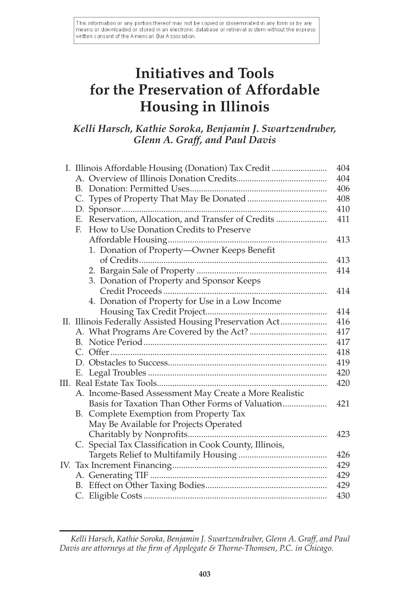This information or any portion thereof may not be copied or disseminated in any form or by any means or downloaded or stored in an electronic database or retrieval system without the express written consent of the American Bar Association.

# **Initiatives and Tools for the Preservation of Affordable Housing in Illinois**

## *Kelli Harsch, Kathie Soroka, Benjamin J. Swartzendruber, Glenn A. Graff, and Paul Davis*

|    | I. Illinois Affordable Housing (Donation) Tax Credit     | 404 |
|----|----------------------------------------------------------|-----|
|    |                                                          | 404 |
|    |                                                          | 406 |
|    |                                                          | 408 |
|    |                                                          | 410 |
|    | E. Reservation, Allocation, and Transfer of Credits      | 411 |
|    | F.<br>How to Use Donation Credits to Preserve            |     |
|    |                                                          | 413 |
|    | 1. Donation of Property-Owner Keeps Benefit              |     |
|    |                                                          | 413 |
|    |                                                          | 414 |
|    | 3. Donation of Property and Sponsor Keeps                |     |
|    |                                                          | 414 |
|    | 4. Donation of Property for Use in a Low Income          |     |
|    |                                                          | 414 |
|    | II. Illinois Federally Assisted Housing Preservation Act | 416 |
|    |                                                          | 417 |
|    |                                                          | 417 |
|    |                                                          | 418 |
|    |                                                          | 419 |
|    |                                                          | 420 |
| Ш. |                                                          | 420 |
|    | A. Income-Based Assessment May Create a More Realistic   |     |
|    | Basis for Taxation Than Other Forms of Valuation         | 421 |
|    | B. Complete Exemption from Property Tax                  |     |
|    | May Be Available for Projects Operated                   |     |
|    |                                                          | 423 |
|    | C. Special Tax Classification in Cook County, Illinois,  |     |
|    |                                                          | 426 |
|    |                                                          | 429 |
|    |                                                          | 429 |
|    |                                                          | 429 |
|    |                                                          | 430 |

*Kelli Harsch, Kathie Soroka, Benjamin J. Swartzendruber, Glenn A. Graff, and Paul Davis are attorneys at the firm of Applegate & Thorne-Thomsen, P.C. in Chicago.*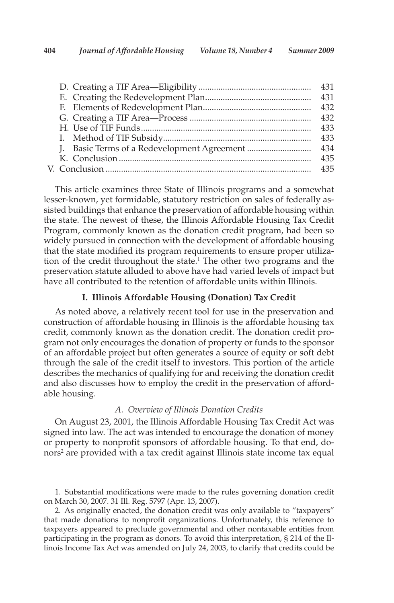| 432  |
|------|
| 433  |
| 433  |
| -434 |
| 435  |
| 435  |
|      |

 This article examines three State of Illinois programs and a somewhat lesser-known, yet formidable, statutory restriction on sales of federally assisted buildings that enhance the preservation of affordable housing within the state. The newest of these, the Illinois Affordable Housing Tax Credit Program, commonly known as the donation credit program, had been so widely pursued in connection with the development of affordable housing that the state modified its program requirements to ensure proper utilization of the credit throughout the state.<sup>1</sup> The other two programs and the preservation statute alluded to above have had varied levels of impact but have all contributed to the retention of affordable units within Illinois.

## **I. Illinois Affordable Housing (Donation) Tax Credit**

 As noted above, a relatively recent tool for use in the preservation and construction of affordable housing in Illinois is the affordable housing tax credit, commonly known as the donation credit. The donation credit program not only encourages the donation of property or funds to the sponsor of an affordable project but often generates a source of equity or soft debt through the sale of the credit itself to investors. This portion of the article describes the mechanics of qualifying for and receiving the donation credit and also discusses how to employ the credit in the preservation of affordable housing.

#### *A. Overview of Illinois Donation Credits*

 On August 23, 2001, the Illinois Affordable Housing Tax Credit Act was signed into law. The act was intended to encourage the donation of money or property to nonprofit sponsors of affordable housing. To that end, donors<sup>2</sup> are provided with a tax credit against Illinois state income tax equal

<sup>1.</sup> Substantial modifications were made to the rules governing donation credit on March 30, 2007. 31 Ill. Reg. 5797 (Apr. 13, 2007).

 <sup>2.</sup> As originally enacted, the donation credit was only available to "taxpayers" that made donations to nonprofit organizations. Unfortunately, this reference to taxpayers appeared to preclude governmental and other nontaxable entities from participating in the program as donors. To avoid this interpretation, § 214 of the Illinois Income Tax Act was amended on July 24, 2003, to clarify that credits could be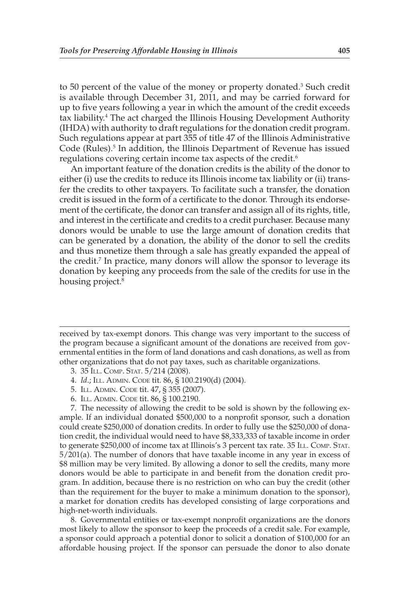to 50 percent of the value of the money or property donated.<sup>3</sup> Such credit is available through December 31, 2011, and may be carried forward for up to five years following a year in which the amount of the credit exceeds tax liability.<sup>4</sup> The act charged the Illinois Housing Development Authority (IHDA) with authority to draft regulations for the donation credit program. Such regulations appear at part 355 of title 47 of the Illinois Administrative Code (Rules).<sup>5</sup> In addition, the Illinois Department of Revenue has issued regulations covering certain income tax aspects of the credit. 6

 An important feature of the donation credits is the ability of the donor to either (i) use the credits to reduce its Illinois income tax liability or (ii) transfer the credits to other taxpayers. To facilitate such a transfer, the donation credit is issued in the form of a certificate to the donor. Through its endorsement of the certificate, the donor can transfer and assign all of its rights, title, and interest in the certificate and credits to a credit purchaser. Because many donors would be unable to use the large amount of donation credits that can be generated by a donation, the ability of the donor to sell the credits and thus monetize them through a sale has greatly expanded the appeal of the credit.<sup>7</sup> In practice, many donors will allow the sponsor to leverage its donation by keeping any proceeds from the sale of the credits for use in the housing project.<sup>8</sup>

received by tax-exempt donors. This change was very important to the success of the program because a significant amount of the donations are received from governmental entities in the form of land donations and cash donations, as well as from other organizations that do not pay taxes, such as charitable organizations.

- 3. 35 ILL. COMP. STAT. 5/214 (2008).
- 4. *Id* .; ILL. ADMIN. CODE tit. 86, § 100.2190(d) (2004).
- 5. ILL. ADMIN. CODE tit. 47, § 355 (2007).
- 6. ILL. ADMIN. CODE tit. 86, § 100.2190.

 7. The necessity of allowing the credit to be sold is shown by the following example. If an individual donated \$500,000 to a nonprofit sponsor, such a donation could create \$250,000 of donation credits. In order to fully use the \$250,000 of donation credit, the individual would need to have \$8,333,333 of taxable income in order to generate \$250,000 of income tax at Illinois's 3 percent tax rate. 35 ILL. COMP. STAT. 5/201(a). The number of donors that have taxable income in any year in excess of \$8 million may be very limited. By allowing a donor to sell the credits, many more donors would be able to participate in and benefit from the donation credit program. In addition, because there is no restriction on who can buy the credit (other than the requirement for the buyer to make a minimum donation to the sponsor), a market for donation credits has developed consisting of large corporations and high-net-worth individuals.

8. Governmental entities or tax-exempt nonprofit organizations are the donors most likely to allow the sponsor to keep the proceeds of a credit sale. For example, a sponsor could approach a potential donor to solicit a donation of \$100,000 for an affordable housing project. If the sponsor can persuade the donor to also donate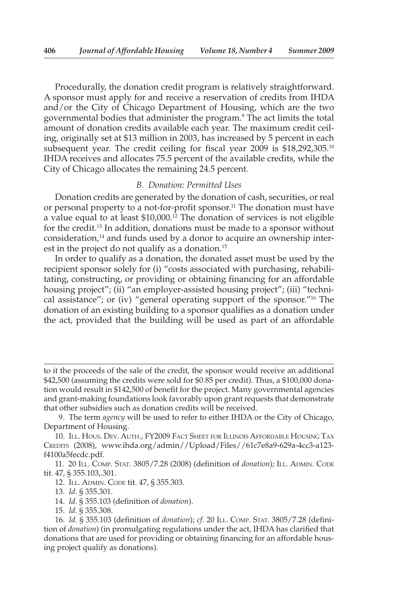Procedurally, the donation credit program is relatively straightforward. A sponsor must apply for and receive a reservation of credits from IHDA and/or the City of Chicago Department of Housing, which are the two governmental bodies that administer the program. 9 The act limits the total amount of donation credits available each year. The maximum credit ceiling, originally set at \$13 million in 2003, has increased by 5 percent in each subsequent year. The credit ceiling for fiscal year 2009 is \$18,292,305.<sup>10</sup> IHDA receives and allocates 75.5 percent of the available credits, while the City of Chicago allocates the remaining 24.5 percent.

### *B. Donation: Permitted Uses*

 Donation credits are generated by the donation of cash, securities, or real or personal property to a not-for-profit sponsor.<sup>11</sup> The donation must have a value equal to at least \$10,000. 12 The donation of services is not eligible for the credit. 13 In addition, donations must be made to a sponsor without consideration,<sup>14</sup> and funds used by a donor to acquire an ownership interest in the project do not qualify as a donation.<sup>15</sup>

 In order to qualify as a donation, the donated asset must be used by the recipient sponsor solely for (i) "costs associated with purchasing, rehabilitating, constructing, or providing or obtaining financing for an affordable housing project"; (ii) "an employer-assisted housing project"; (iii) "technical assistance"; or (iv) "general operating support of the sponsor."<sup>16</sup> The donation of an existing building to a sponsor qualifies as a donation under the act, provided that the building will be used as part of an affordable

to it the proceeds of the sale of the credit, the sponsor would receive an additional \$42,500 (assuming the credits were sold for \$0.85 per credit). Thus, a \$100,000 donation would result in \$142,500 of benefit for the project. Many governmental agencies and grant-making foundations look favorably upon grant requests that demonstrate that other subsidies such as donation credits will be received.

 <sup>9.</sup> The term *agency* will be used to refer to either IHDA or the City of Chicago, Department of Housing.

 <sup>10.</sup> ILL. HOUS. DEV. AUTH., FY2009 FACT SHEET FOR ILLINOIS AFFORDABLE HOUSING TAX CREDITS (2008), www.ihda.org/admin//Upload/Files//61c7e8a9-629a-4cc3-a123 f4100a5fecdc.pdf.

 <sup>11. 20</sup> ILL. COMP. STAT. 3805/7.28 (2008) (defi nition of *donation* ); ILL. ADMIN. CODE tit. 47, § 355.103,.301.

 <sup>12.</sup> ILL. ADMIN. CODE tit. 47, § 355.303.

 <sup>13.</sup> *Id* . § 355.301.

<sup>14.</sup> *Id.* § 355.103 (definition of *donation*).

 <sup>15.</sup> *Id* . § 355.308.

<sup>16.</sup> *Id.* § 355.103 (definition of *donation*); *cf.* 20 ILL. COMP. STAT. 3805/7.28 (definition of *donation*) (in promulgating regulations under the act, IHDA has clarified that donations that are used for providing or obtaining financing for an affordable housing project qualify as donations).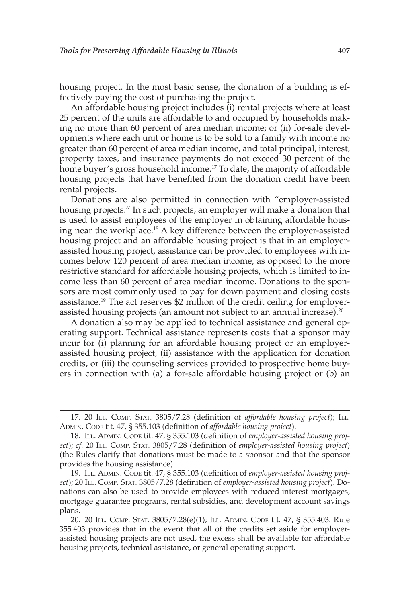housing project. In the most basic sense, the donation of a building is effectively paying the cost of purchasing the project.

 An affordable housing project includes (i) rental projects where at least 25 percent of the units are affordable to and occupied by households making no more than 60 percent of area median income; or (ii) for-sale developments where each unit or home is to be sold to a family with income no greater than 60 percent of area median income, and total principal, interest, property taxes, and insurance payments do not exceed 30 percent of the home buyer's gross household income.<sup>17</sup> To date, the majority of affordable housing projects that have benefited from the donation credit have been rental projects.

 Donations are also permitted in connection with "employer-assisted housing projects." In such projects, an employer will make a donation that is used to assist employees of the employer in obtaining affordable housing near the workplace. 18 A key difference between the employer-assisted housing project and an affordable housing project is that in an employerassisted housing project, assistance can be provided to employees with incomes below 120 percent of area median income, as opposed to the more restrictive standard for affordable housing projects, which is limited to income less than 60 percent of area median income. Donations to the sponsors are most commonly used to pay for down payment and closing costs assistance. 19 The act reserves \$2 million of the credit ceiling for employerassisted housing projects (an amount not subject to an annual increase).<sup>20</sup>

 A donation also may be applied to technical assistance and general operating support. Technical assistance represents costs that a sponsor may incur for (i) planning for an affordable housing project or an employerassisted housing project, (ii) assistance with the application for donation credits, or (iii) the counseling services provided to prospective home buyers in connection with (a) a for-sale affordable housing project or (b) an

<sup>17. 20</sup> ILL. COMP. STAT. 3805/7.28 (definition of *affordable housing project*); ILL. ADMIN. CODE tit. 47, § 355.103 (definition of affordable housing project).

 <sup>18.</sup> ILL. ADMIN. CODE tit. 47, § 355.103 (defi nition of *employer-assisted housing project*); *cf.* 20 ILL. COMP. STAT. 3805/7.28 (definition of *employer-assisted housing project*) (the Rules clarify that donations must be made to a sponsor and that the sponsor provides the housing assistance).

 <sup>19.</sup> ILL. ADMIN. CODE tit. 47, § 355.103 (defi nition of *employer-assisted housing proj*ect); 20 ILL. COMP. STAT. 3805/7.28 (definition of *employer-assisted housing project*). Donations can also be used to provide employees with reduced-interest mortgages, mortgage guarantee programs, rental subsidies, and development account savings plans.

 <sup>20. 20</sup> ILL. COMP. STAT. 3805/7.28(e)(1); ILL. ADMIN. CODE tit. 47, § 355.403. Rule 355.403 provides that in the event that all of the credits set aside for employerassisted housing projects are not used, the excess shall be available for affordable housing projects, technical assistance, or general operating support.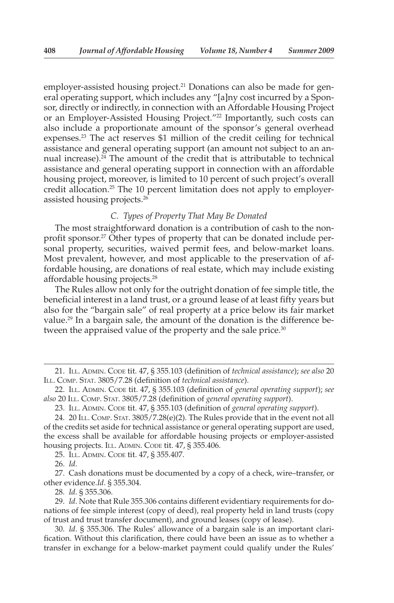employer-assisted housing project.<sup>21</sup> Donations can also be made for general operating support, which includes any "[a]ny cost incurred by a Sponsor, directly or indirectly, in connection with an Affordable Housing Project or an Employer-Assisted Housing Project."<sup>22</sup> Importantly, such costs can also include a proportionate amount of the sponsor's general overhead expenses.<sup>23</sup> The act reserves \$1 million of the credit ceiling for technical assistance and general operating support (an amount not subject to an annual increase). $^{24}$  The amount of the credit that is attributable to technical assistance and general operating support in connection with an affordable housing project, moreover, is limited to 10 percent of such project's overall credit allocation.<sup>25</sup> The 10 percent limitation does not apply to employerassisted housing projects. 26

## *C. Types of Property That May Be Donated*

 The most straightforward donation is a contribution of cash to the nonprofit sponsor.<sup>27</sup> Other types of property that can be donated include personal property, securities, waived permit fees, and below-market loans. Most prevalent, however, and most applicable to the preservation of affordable housing, are donations of real estate, which may include existing affordable housing projects.<sup>28</sup>

 The Rules allow not only for the outright donation of fee simple title, the beneficial interest in a land trust, or a ground lease of at least fifty years but also for the "bargain sale" of real property at a price below its fair market value.<sup>29</sup> In a bargain sale, the amount of the donation is the difference between the appraised value of the property and the sale price.<sup>30</sup>

26. *Id* .

 27. Cash donations must be documented by a copy of a check, wire–transfer, or other evidence. *Id* . § 355.304.

28. *Id* . § 355.306.

 29. *Id* . Note that Rule 355.306 contains different evidentiary requirements for donations of fee simple interest (copy of deed), real property held in land trusts (copy of trust and trust transfer document), and ground leases (copy of lease).

 30. *Id* . § 355.306. The Rules' allowance of a bargain sale is an important clarification. Without this clarification, there could have been an issue as to whether a transfer in exchange for a below-market payment could qualify under the Rules'

 <sup>21.</sup> ILL. ADMIN. CODE tit. 47, § 355.103 (defi nition of *technical assistance* ); *see also* 20 ILL. COMP. STAT. 3805/7.28 (definition of *technical assistance*).

<sup>22.</sup> ILL. ADMIN. CODE tit. 47, § 355.103 (definition of *general operating support*); see *also* 20 ILL. COMP. STAT. 3805/7.28 (defi nition of *general operating support* ).

<sup>23.</sup> ILL. ADMIN. CODE tit. 47, § 355.103 (definition of *general operating support*).

 <sup>24. 20</sup> ILL. COMP. STAT. 3805/7.28(e)(2). The Rules provide that in the event not all of the credits set aside for technical assistance or general operating support are used, the excess shall be available for affordable housing projects or employer-assisted housing projects. ILL. ADMIN. CODE tit. 47, § 355.406.

 <sup>25.</sup> ILL. ADMIN. CODE tit. 47, § 355.407.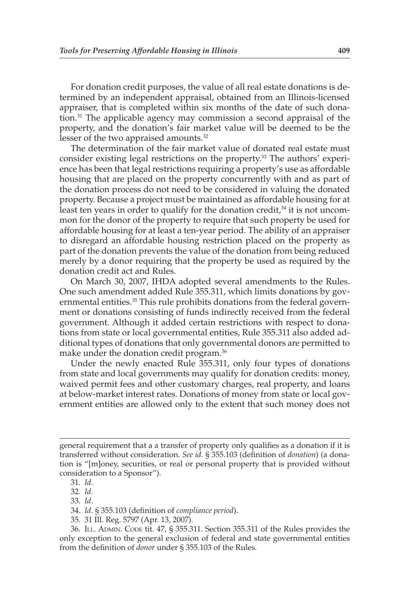For donation credit purposes, the value of all real estate donations is determined by an independent appraisal, obtained from an Illinois-licensed appraiser, that is completed within six months of the date of such donation. 31 The applicable agency may commission a second appraisal of the property, and the donation's fair market value will be deemed to be the lesser of the two appraised amounts.<sup>32</sup>

 The determination of the fair market value of donated real estate must consider existing legal restrictions on the property.<sup>33</sup> The authors' experience has been that legal restrictions requiring a property's use as affordable housing that are placed on the property concurrently with and as part of the donation process do not need to be considered in valuing the donated property. Because a project must be maintained as affordable housing for at least ten years in order to qualify for the donation credit, $34$  it is not uncommon for the donor of the property to require that such property be used for affordable housing for at least a ten-year period. The ability of an appraiser to disregard an affordable housing restriction placed on the property as part of the donation prevents the value of the donation from being reduced merely by a donor requiring that the property be used as required by the donation credit act and Rules.

 On March 30, 2007, IHDA adopted several amendments to the Rules. One such amendment added Rule 355.311, which limits donations by governmental entities.<sup>35</sup> This rule prohibits donations from the federal government or donations consisting of funds indirectly received from the federal government. Although it added certain restrictions with respect to donations from state or local governmental entities, Rule 355.311 also added additional types of donations that only governmental donors are permitted to make under the donation credit program.<sup>36</sup>

 Under the newly enacted Rule 355.311, only four types of donations from state and local governments may qualify for donation credits: money, waived permit fees and other customary charges, real property, and loans at below-market interest rates. Donations of money from state or local government entities are allowed only to the extent that such money does not

35. 31 Ill. Reg. 5797 (Apr. 13, 2007).

general requirement that a a transfer of property only qualifies as a donation if it is transferred without consideration. *See id*. § 355.103 (definition of *donation*) (a donation is "[m]oney, securities, or real or personal property that is provided without consideration to a Sponsor").

 <sup>31.</sup> *Id* .

<sup>32.</sup> *Id.* 

 <sup>33.</sup> *Id* .

 <sup>34.</sup> *Id* . § 355.103 (defi nition of *compliance period* ).

 <sup>36.</sup> ILL. ADMIN. CODE tit. 47, § 355.311. Section 355.311 of the Rules provides the only exception to the general exclusion of federal and state governmental entities from the definition of *donor* under § 355.103 of the Rules.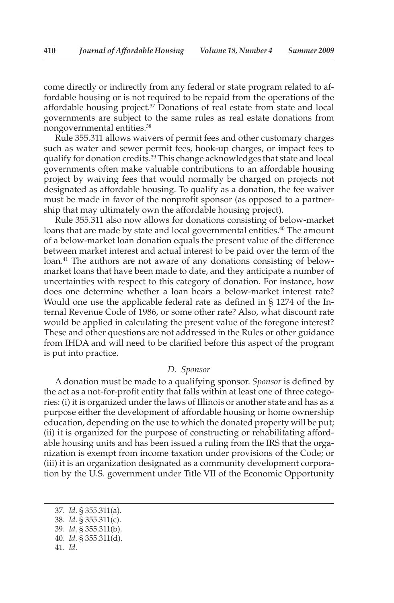come directly or indirectly from any federal or state program related to affordable housing or is not required to be repaid from the operations of the affordable housing project. $37$  Donations of real estate from state and local governments are subject to the same rules as real estate donations from nongovernmental entities. 38

 Rule 355.311 allows waivers of permit fees and other customary charges such as water and sewer permit fees, hook-up charges, or impact fees to qualify for donation credits. 39 This change acknowledges that state and local governments often make valuable contributions to an affordable housing project by waiving fees that would normally be charged on projects not designated as affordable housing. To qualify as a donation, the fee waiver must be made in favor of the nonprofit sponsor (as opposed to a partnership that may ultimately own the affordable housing project).

 Rule 355.311 also now allows for donations consisting of below-market loans that are made by state and local governmental entities.<sup>40</sup> The amount of a below-market loan donation equals the present value of the difference between market interest and actual interest to be paid over the term of the loan.<sup>41</sup> The authors are not aware of any donations consisting of belowmarket loans that have been made to date, and they anticipate a number of uncertainties with respect to this category of donation. For instance, how does one determine whether a loan bears a below-market interest rate? Would one use the applicable federal rate as defined in § 1274 of the Internal Revenue Code of 1986, or some other rate? Also, what discount rate would be applied in calculating the present value of the foregone interest? These and other questions are not addressed in the Rules or other guidance from IHDA and will need to be clarified before this aspect of the program is put into practice.

#### *D. Sponsor*

 A donation must be made to a qualifying sponsor. *Sponsor* is defined by the act as a not-for-profit entity that falls within at least one of three categories: (i) it is organized under the laws of Illinois or another state and has as a purpose either the development of affordable housing or home ownership education, depending on the use to which the donated property will be put; (ii) it is organized for the purpose of constructing or rehabilitating affordable housing units and has been issued a ruling from the IRS that the organization is exempt from income taxation under provisions of the Code; or (iii) it is an organization designated as a community development corporation by the U.S. government under Title VII of the Economic Opportunity

 <sup>37.</sup> *Id* . § 355.311(a).

 <sup>38.</sup> *Id* . § 355.311(c).

 <sup>39.</sup> *Id* . § 355.311(b).

 <sup>40.</sup> *Id* . § 355.311(d).

 <sup>41.</sup> *Id* .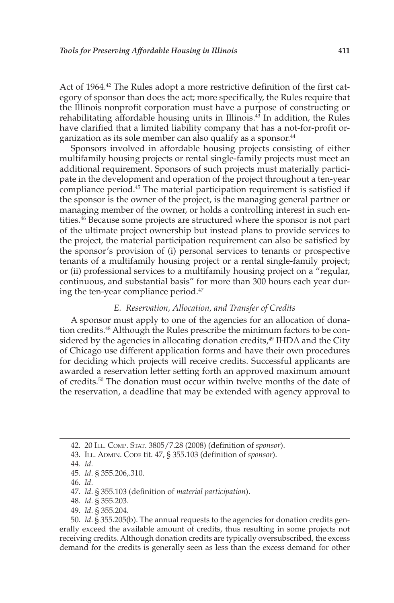Act of 1964.<sup>42</sup> The Rules adopt a more restrictive definition of the first category of sponsor than does the act; more specifically, the Rules require that the Illinois nonprofit corporation must have a purpose of constructing or rehabilitating affordable housing units in Illinois.<sup>43</sup> In addition, the Rules have clarified that a limited liability company that has a not-for-profit organization as its sole member can also qualify as a sponsor. 44

 Sponsors involved in affordable housing projects consisting of either multifamily housing projects or rental single-family projects must meet an additional requirement. Sponsors of such projects must materially participate in the development and operation of the project throughout a ten-year compliance period.<sup>45</sup> The material participation requirement is satisfied if the sponsor is the owner of the project, is the managing general partner or managing member of the owner, or holds a controlling interest in such entities. 46 Because some projects are structured where the sponsor is not part of the ultimate project ownership but instead plans to provide services to the project, the material participation requirement can also be satisfied by the sponsor's provision of (i) personal services to tenants or prospective tenants of a multifamily housing project or a rental single-family project; or (ii) professional services to a multifamily housing project on a "regular, continuous, and substantial basis" for more than 300 hours each year during the ten-year compliance period.<sup>47</sup>

#### *E. Reservation, Allocation, and Transfer of Credits*

 A sponsor must apply to one of the agencies for an allocation of donation credits. 48 Although the Rules prescribe the minimum factors to be considered by the agencies in allocating donation credits, 49 IHDA and the City of Chicago use different application forms and have their own procedures for deciding which projects will receive credits. Successful applicants are awarded a reservation letter setting forth an approved maximum amount of credits. 50 The donation must occur within twelve months of the date of the reservation, a deadline that may be extended with agency approval to

47. *Id.* § 355.103 (definition of *material participation*).

- 48. *Id* . § 355.203.
- 49. *Id* . § 355.204.

 50. *Id* . § 355.205(b). The annual requests to the agencies for donation credits generally exceed the available amount of credits, thus resulting in some projects not receiving credits. Although donation credits are typically oversubscribed, the excess demand for the credits is generally seen as less than the excess demand for other

 <sup>42. 20</sup> ILL. COMP. STAT. 3805/7.28 (2008) (defi nition of *sponsor* ).

 <sup>43.</sup> ILL. ADMIN. CODE tit. 47, § 355.103 (defi nition of *sponsor* ).

 <sup>44.</sup> *Id* .

 <sup>45.</sup> *Id* . § 355.206,.310.

 <sup>46.</sup> *Id* .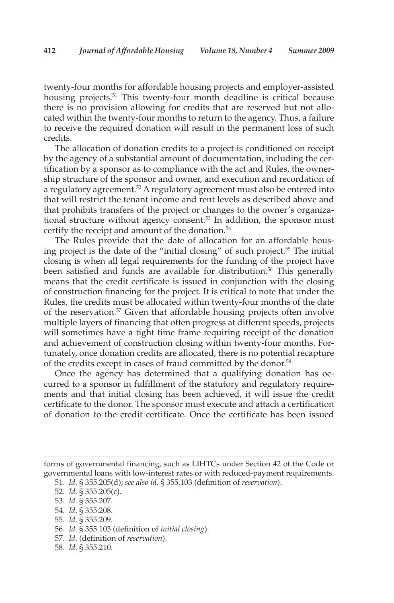twenty-four months for affordable housing projects and employer-assisted housing projects.<sup>51</sup> This twenty-four month deadline is critical because there is no provision allowing for credits that are reserved but not allocated within the twenty-four months to return to the agency. Thus, a failure to receive the required donation will result in the permanent loss of such credits.

 The allocation of donation credits to a project is conditioned on receipt by the agency of a substantial amount of documentation, including the certification by a sponsor as to compliance with the act and Rules, the ownership structure of the sponsor and owner, and execution and recordation of a regulatory agreement.<sup>52</sup> A regulatory agreement must also be entered into that will restrict the tenant income and rent levels as described above and that prohibits transfers of the project or changes to the owner's organizational structure without agency consent.<sup>53</sup> In addition, the sponsor must certify the receipt and amount of the donation. 54

 The Rules provide that the date of allocation for an affordable housing project is the date of the "initial closing" of such project. 55 The initial closing is when all legal requirements for the funding of the project have been satisfied and funds are available for distribution.<sup>56</sup> This generally means that the credit certificate is issued in conjunction with the closing of construction financing for the project. It is critical to note that under the Rules, the credits must be allocated within twenty-four months of the date of the reservation.<sup>57</sup> Given that affordable housing projects often involve multiple layers of financing that often progress at different speeds, projects will sometimes have a tight time frame requiring receipt of the donation and achievement of construction closing within twenty-four months. Fortunately, once donation credits are allocated, there is no potential recapture of the credits except in cases of fraud committed by the donor.<sup>58</sup>

 Once the agency has determined that a qualifying donation has occurred to a sponsor in fulfillment of the statutory and regulatory requirements and that initial closing has been achieved, it will issue the credit certificate to the donor. The sponsor must execute and attach a certification of donation to the credit certificate. Once the certificate has been issued

57. *Id* . (defi nition of *reservation* ).

forms of governmental financing, such as LIHTCs under Section 42 of the Code or governmental loans with low-interest rates or with reduced-payment requirements.

 <sup>51.</sup> *Id* . § 355.205(d); *see also id* . § 355.103 (defi nition of *reservation* ).

 <sup>52.</sup> *Id* . § 355.205(c).

 <sup>53.</sup> *Id* . § 355.207.

 <sup>54.</sup> *Id* . § 355.208.

 <sup>55.</sup> *Id* . § 355.209.

<sup>56.</sup> *Id.* § 355.103 (definition of *initial closing*).

 <sup>58.</sup> *Id* . § 355.210.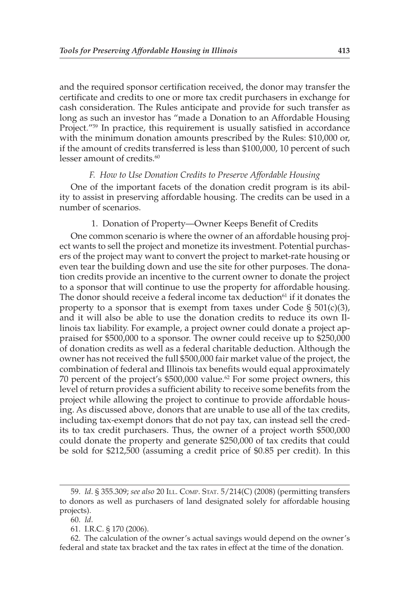and the required sponsor certification received, the donor may transfer the certificate and credits to one or more tax credit purchasers in exchange for cash consideration. The Rules anticipate and provide for such transfer as long as such an investor has "made a Donation to an Affordable Housing Project."<sup>59</sup> In practice, this requirement is usually satisfied in accordance with the minimum donation amounts prescribed by the Rules: \$10,000 or, if the amount of credits transferred is less than \$100,000, 10 percent of such lesser amount of credits.<sup>60</sup>

#### *F. How to Use Donation Credits to Preserve Affordable Housing*

 One of the important facets of the donation credit program is its ability to assist in preserving affordable housing. The credits can be used in a number of scenarios.

#### 1. Donation of Property—Owner Keeps Benefit of Credits

 One common scenario is where the owner of an affordable housing project wants to sell the project and monetize its investment. Potential purchasers of the project may want to convert the project to market-rate housing or even tear the building down and use the site for other purposes. The donation credits provide an incentive to the current owner to donate the project to a sponsor that will continue to use the property for affordable housing. The donor should receive a federal income tax deduction<sup>61</sup> if it donates the property to a sponsor that is exempt from taxes under Code  $\S$  501(c)(3), and it will also be able to use the donation credits to reduce its own Illinois tax liability. For example, a project owner could donate a project appraised for \$500,000 to a sponsor. The owner could receive up to \$250,000 of donation credits as well as a federal charitable deduction. Although the owner has not received the full \$500,000 fair market value of the project, the combination of federal and Illinois tax benefits would equal approximately 70 percent of the project's \$500,000 value. 62 For some project owners, this level of return provides a sufficient ability to receive some benefits from the project while allowing the project to continue to provide affordable housing. As discussed above, donors that are unable to use all of the tax credits, including tax-exempt donors that do not pay tax, can instead sell the credits to tax credit purchasers. Thus, the owner of a project worth \$500,000 could donate the property and generate \$250,000 of tax credits that could be sold for \$212,500 (assuming a credit price of \$0.85 per credit). In this

 <sup>59.</sup> *Id* . § 355.309; *see also* 20 ILL. COMP. STAT. 5/214(C) ( 2008) (permitting transfers to donors as well as purchasers of land designated solely for affordable housing projects).

 <sup>60.</sup> *Id* .

 <sup>61.</sup> I.R.C. § 170 (2006).

 <sup>62.</sup> The calculation of the owner's actual savings would depend on the owner's federal and state tax bracket and the tax rates in effect at the time of the donation.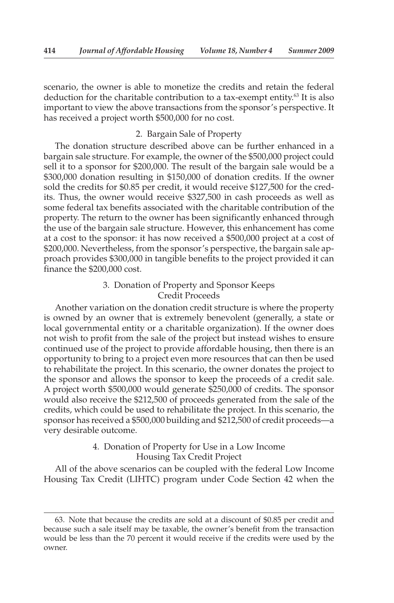scenario, the owner is able to monetize the credits and retain the federal deduction for the charitable contribution to a tax-exempt entity.<sup>63</sup> It is also important to view the above transactions from the sponsor's perspective. It has received a project worth \$500,000 for no cost.

#### 2. Bargain Sale of Property

 The donation structure described above can be further enhanced in a bargain sale structure. For example, the owner of the \$500,000 project could sell it to a sponsor for \$200,000. The result of the bargain sale would be a \$300,000 donation resulting in \$150,000 of donation credits. If the owner sold the credits for \$0.85 per credit, it would receive \$127,500 for the credits. Thus, the owner would receive \$327,500 in cash proceeds as well as some federal tax benefits associated with the charitable contribution of the property. The return to the owner has been significantly enhanced through the use of the bargain sale structure. However, this enhancement has come at a cost to the sponsor: it has now received a \$500,000 project at a cost of \$200,000. Nevertheless, from the sponsor's perspective, the bargain sale approach provides \$300,000 in tangible benefits to the project provided it can finance the \$200,000 cost.

## 3. Donation of Property and Sponsor Keeps Credit Proceeds

 Another variation on the donation credit structure is where the property is owned by an owner that is extremely benevolent (generally, a state or local governmental entity or a charitable organization). If the owner does not wish to profit from the sale of the project but instead wishes to ensure continued use of the project to provide affordable housing, then there is an opportunity to bring to a project even more resources that can then be used to rehabilitate the project. In this scenario, the owner donates the project to the sponsor and allows the sponsor to keep the proceeds of a credit sale. A project worth \$500,000 would generate \$250,000 of credits. The sponsor would also receive the \$212,500 of proceeds generated from the sale of the credits, which could be used to rehabilitate the project. In this scenario, the sponsor has received a \$500,000 building and \$212,500 of credit proceeds—a very desirable outcome.

## 4. Donation of Property for Use in a Low Income Housing Tax Credit Project

 All of the above scenarios can be coupled with the federal Low Income Housing Tax Credit (LIHTC) program under Code Section 42 when the

 <sup>63.</sup> Note that because the credits are sold at a discount of \$0.85 per credit and because such a sale itself may be taxable, the owner's benefit from the transaction would be less than the 70 percent it would receive if the credits were used by the owner.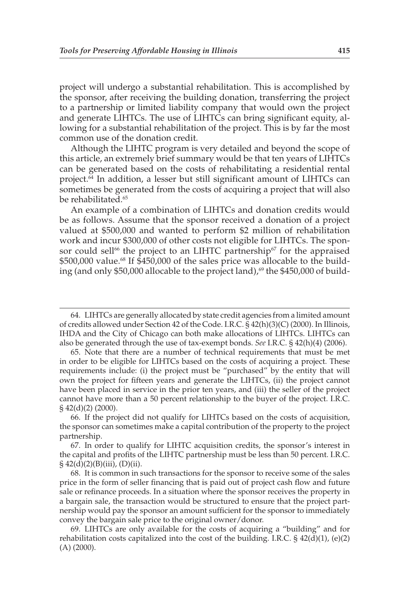project will undergo a substantial rehabilitation. This is accomplished by the sponsor, after receiving the building donation, transferring the project to a partnership or limited liability company that would own the project and generate LIHTCs. The use of LIHTCs can bring significant equity, allowing for a substantial rehabilitation of the project. This is by far the most common use of the donation credit.

 Although the LIHTC program is very detailed and beyond the scope of this article, an extremely brief summary would be that ten years of LIHTCs can be generated based on the costs of rehabilitating a residential rental project. 64 In addition, a lesser but still significant amount of LIHTCs can sometimes be generated from the costs of acquiring a project that will also be rehabilitated.<sup>65</sup>

 An example of a combination of LIHTCs and donation credits would be as follows. Assume that the sponsor received a donation of a project valued at \$500,000 and wanted to perform \$2 million of rehabilitation work and incur \$300,000 of other costs not eligible for LIHTCs. The sponsor could sell<sup>66</sup> the project to an LIHTC partnership<sup>67</sup> for the appraised \$500,000 value.<sup>68</sup> If \$450,000 of the sales price was allocable to the building (and only \$50,000 allocable to the project land),<sup>69</sup> the \$450,000 of build-

 <sup>64.</sup> LIHTCs are generally allocated by state credit agencies from a limited amount of credits allowed under Section 42 of the Code. I.R.C. § 42(h)(3)(C) (2000). In Illinois, IHDA and the City of Chicago can both make allocations of LIHTCs. LIHTCs can also be generated through the use of tax-exempt bonds. *See* I.R.C. § 42(h)(4) (2006).

 <sup>65.</sup> Note that there are a number of technical requirements that must be met in order to be eligible for LIHTCs based on the costs of acquiring a project. These requirements include: (i) the project must be "purchased" by the entity that will own the project for fifteen years and generate the LIHTCs, (ii) the project cannot have been placed in service in the prior ten years, and (iii) the seller of the project cannot have more than a 50 percent relationship to the buyer of the project. I.R.C. § 42(d)(2) (2000).

 <sup>66.</sup> If the project did not qualify for LIHTCs based on the costs of acquisition, the sponsor can sometimes make a capital contribution of the property to the project partnership.

 <sup>67.</sup> In order to qualify for LIHTC acquisition credits, the sponsor's interest in the capital and profits of the LIHTC partnership must be less than 50 percent. I.R.C.  $§ 42(d)(2)(B)(iii), (D)(ii).$ 

 <sup>68.</sup> It is common in such transactions for the sponsor to receive some of the sales price in the form of seller financing that is paid out of project cash flow and future sale or refinance proceeds. In a situation where the sponsor receives the property in a bargain sale, the transaction would be structured to ensure that the project partnership would pay the sponsor an amount sufficient for the sponsor to immediately convey the bargain sale price to the original owner/donor.

 <sup>69.</sup> LIHTCs are only available for the costs of acquiring a "building" and for rehabilitation costs capitalized into the cost of the building. I.R.C.  $\S 42(d)(1)$ , (e)(2) (A) (2000).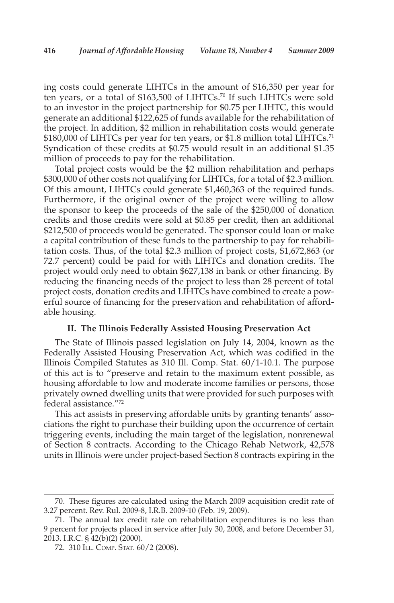ing costs could generate LIHTCs in the amount of \$16,350 per year for ten years, or a total of \$163,500 of LIHTCs. 70 If such LIHTCs were sold to an investor in the project partnership for \$0.75 per LIHTC, this would generate an additional \$122,625 of funds available for the rehabilitation of the project. In addition, \$2 million in rehabilitation costs would generate \$180,000 of LIHTCs per year for ten years, or \$1.8 million total LIHTCs.<sup>71</sup> Syndication of these credits at \$0.75 would result in an additional \$1.35 million of proceeds to pay for the rehabilitation.

 Total project costs would be the \$2 million rehabilitation and perhaps \$300,000 of other costs not qualifying for LIHTCs, for a total of \$2.3 million. Of this amount, LIHTCs could generate \$1,460,363 of the required funds. Furthermore, if the original owner of the project were willing to allow the sponsor to keep the proceeds of the sale of the \$250,000 of donation credits and those credits were sold at \$0.85 per credit, then an additional \$212,500 of proceeds would be generated. The sponsor could loan or make a capital contribution of these funds to the partnership to pay for rehabilitation costs. Thus, of the total \$2.3 million of project costs, \$1,672,863 (or 72.7 percent) could be paid for with LIHTCs and donation credits. The project would only need to obtain \$627,138 in bank or other financing. By reducing the financing needs of the project to less than 28 percent of total project costs, donation credits and LIHTCs have combined to create a powerful source of financing for the preservation and rehabilitation of affordable housing.

#### **II. The Illinois Federally Assisted Housing Preservation Act**

 The State of Illinois passed legislation on July 14, 2004, known as the Federally Assisted Housing Preservation Act, which was codified in the Illinois Compiled Statutes as 310 Ill. Comp. Stat. 60/1-10.1. The purpose of this act is to "preserve and retain to the maximum extent possible, as housing affordable to low and moderate income families or persons, those privately owned dwelling units that were provided for such purposes with federal assistance."<sup>72</sup>

 This act assists in preserving affordable units by granting tenants' associations the right to purchase their building upon the occurrence of certain triggering events, including the main target of the legislation, nonrenewal of Section 8 contracts. According to the Chicago Rehab Network, 42,578 units in Illinois were under project-based Section 8 contracts expiring in the

<sup>70.</sup> These figures are calculated using the March 2009 acquisition credit rate of 3.27 percent. Rev. Rul. 2009-8, I.R.B. 2009-10 (Feb. 19, 2009).

 <sup>71.</sup> The annual tax credit rate on rehabilitation expenditures is no less than 9 percent for projects placed in service after July 30, 2008, and before December 31, 2013. I.R.C. § 42(b)(2) (2000).

 <sup>72. 310</sup> ILL. COMP. STAT. 60/2 (2008).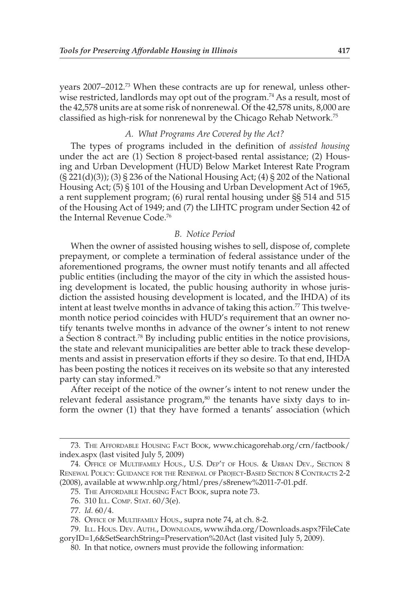years 2007–2012.<sup>73</sup> When these contracts are up for renewal, unless otherwise restricted, landlords may opt out of the program.<sup>74</sup> As a result, most of the 42,578 units are at some risk of nonrenewal. Of the 42,578 units, 8,000 are classified as high-risk for nonrenewal by the Chicago Rehab Network. 75

#### *A. What Programs Are Covered by the Act?*

 The types of programs included in the definition of *assisted housing* under the act are (1) Section 8 project-based rental assistance; (2) Housing and Urban Development (HUD) Below Market Interest Rate Program (§ 221(d)(3)); (3) § 236 of the National Housing Act; (4) § 202 of the National Housing Act; (5) § 101 of the Housing and Urban Development Act of 1965, a rent supplement program; (6) rural rental housing under §§ 514 and 515 of the Housing Act of 1949; and (7) the LIHTC program under Section 42 of the Internal Revenue Code.<sup>76</sup>

## *B. Notice Period*

 When the owner of assisted housing wishes to sell, dispose of, complete prepayment, or complete a termination of federal assistance under of the aforementioned programs, the owner must notify tenants and all affected public entities (including the mayor of the city in which the assisted housing development is located, the public housing authority in whose jurisdiction the assisted housing development is located, and the IHDA) of its intent at least twelve months in advance of taking this action.<sup>77</sup> This twelvemonth notice period coincides with HUD's requirement that an owner notify tenants twelve months in advance of the owner's intent to not renew a Section 8 contract.<sup>78</sup> By including public entities in the notice provisions, the state and relevant municipalities are better able to track these developments and assist in preservation efforts if they so desire. To that end, IHDA has been posting the notices it receives on its website so that any interested party can stay informed.<sup>79</sup>

 After receipt of the notice of the owner's intent to not renew under the relevant federal assistance program, $80$  the tenants have sixty days to inform the owner (1) that they have formed a tenants' association (which

 <sup>73.</sup> THE AFFORDABLE HOUSING FACT BOOK , www.chicagorehab.org/crn/factbook/ index.aspx (last visited July 5, 2009)

 <sup>74.</sup> OFFICE OF MULTIFAMILY HOUS., U.S. DEP'T OF HOUS. & URBAN DEV., SECTION 8 RENEWAL POLICY: GUIDANCE FOR THE RENEWAL OF PROJECT-BASED SECTION 8 CONTRACTS 2-2 (2008), available at www.nhlp.org/html/pres/s8renew%2011-7-01.pdf.

 <sup>75.</sup> THE AFFORDABLE HOUSING FACT BOOK , supra note 73.

 <sup>76. 310</sup> ILL. COMP. STAT. 60/3(e).

 <sup>77.</sup> *Id.* 60/4.

 <sup>78.</sup> OFFICE OF MULTIFAMILY HOUS., supra note 74, at ch. 8-2.

 <sup>79.</sup> ILL. HOUS. DEV. AUTH., DOWNLOADS , www.ihda.org/Downloads.aspx?FileCate goryID=1,6&SetSearchString=Preservation%20Act (last visited July 5, 2009).

 <sup>80.</sup> In that notice, owners must provide the following information: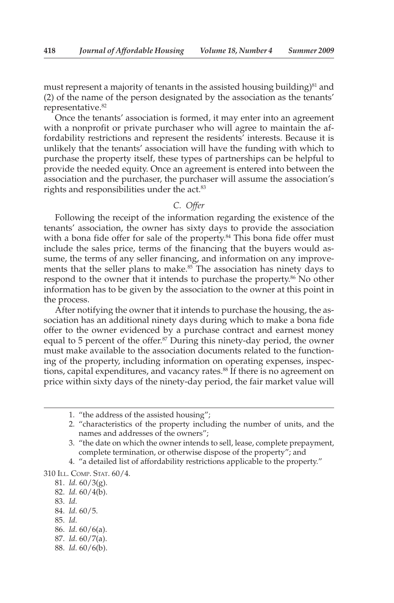must represent a majority of tenants in the assisted housing building) $81$  and (2) of the name of the person designated by the association as the tenants' representative. 82

 Once the tenants' association is formed, it may enter into an agreement with a nonprofit or private purchaser who will agree to maintain the affordability restrictions and represent the residents' interests. Because it is unlikely that the tenants' association will have the funding with which to purchase the property itself, these types of partnerships can be helpful to provide the needed equity. Once an agreement is entered into between the association and the purchaser, the purchaser will assume the association's rights and responsibilities under the act.<sup>83</sup>

## *C. Offer*

 Following the receipt of the information regarding the existence of the tenants' association, the owner has sixty days to provide the association with a bona fide offer for sale of the property.<sup>84</sup> This bona fide offer must include the sales price, terms of the financing that the buyers would assume, the terms of any seller financing, and information on any improvements that the seller plans to make.<sup>85</sup> The association has ninety days to respond to the owner that it intends to purchase the property.<sup>86</sup> No other information has to be given by the association to the owner at this point in the process.

 After notifying the owner that it intends to purchase the housing, the association has an additional ninety days during which to make a bona fide offer to the owner evidenced by a purchase contract and earnest money equal to 5 percent of the offer.<sup>87</sup> During this ninety-day period, the owner must make available to the association documents related to the functioning of the property, including information on operating expenses, inspections, capital expenditures, and vacancy rates.<sup>88</sup> If there is no agreement on price within sixty days of the ninety-day period, the fair market value will

- 2. "characteristics of the property including the number of units, and the names and addresses of the owners";
- 3. "the date on which the owner intends to sell, lease, complete prepayment, complete termination, or otherwise dispose of the property"; and
- 4. "a detailed list of affordability restrictions applicable to the property."

310 ILL. COMP. STAT. 60/4.

- 83. *Id.*
- 84. *Id.* 60/5.
- 85. *Id.*
- 86. *Id.* 60/6(a).
- 87. *Id.* 60/7(a).
- 88. *Id.* 60/6(b).

 <sup>1. &</sup>quot;the address of the assisted housing";

 <sup>81.</sup> *Id.* 60/3(g).

 <sup>82.</sup> *Id.* 60/4(b).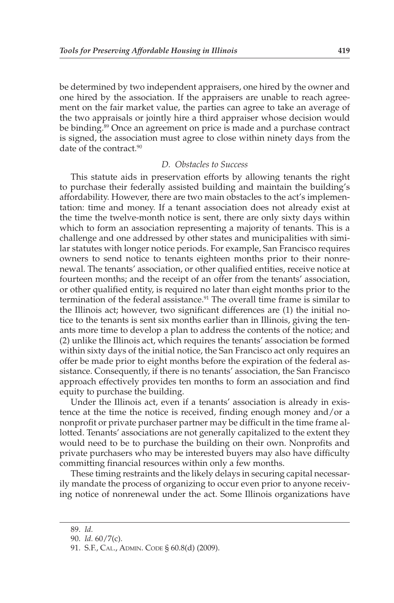be determined by two independent appraisers, one hired by the owner and one hired by the association. If the appraisers are unable to reach agreement on the fair market value, the parties can agree to take an average of the two appraisals or jointly hire a third appraiser whose decision would be binding. 89 Once an agreement on price is made and a purchase contract is signed, the association must agree to close within ninety days from the date of the contract.<sup>90</sup>

#### *D. Obstacles to Success*

 This statute aids in preservation efforts by allowing tenants the right to purchase their federally assisted building and maintain the building's affordability. However, there are two main obstacles to the act's implementation: time and money. If a tenant association does not already exist at the time the twelve-month notice is sent, there are only sixty days within which to form an association representing a majority of tenants. This is a challenge and one addressed by other states and municipalities with similar statutes with longer notice periods. For example, San Francisco requires owners to send notice to tenants eighteen months prior to their nonrenewal. The tenants' association, or other qualified entities, receive notice at fourteen months; and the receipt of an offer from the tenants' association, or other qualified entity, is required no later than eight months prior to the termination of the federal assistance.<sup>91</sup> The overall time frame is similar to the Illinois act; however, two significant differences are (1) the initial notice to the tenants is sent six months earlier than in Illinois, giving the tenants more time to develop a plan to address the contents of the notice; and (2) unlike the Illinois act, which requires the tenants' association be formed within sixty days of the initial notice, the San Francisco act only requires an offer be made prior to eight months before the expiration of the federal assistance. Consequently, if there is no tenants' association, the San Francisco approach effectively provides ten months to form an association and find equity to purchase the building.

 Under the Illinois act, even if a tenants' association is already in existence at the time the notice is received, finding enough money and/or a nonprofit or private purchaser partner may be difficult in the time frame allotted. Tenants' associations are not generally capitalized to the extent they would need to be to purchase the building on their own. Nonprofits and private purchasers who may be interested buyers may also have difficulty committing financial resources within only a few months.

 These timing restraints and the likely delays in securing capital necessarily mandate the process of organizing to occur even prior to anyone receiving notice of nonrenewal under the act. Some Illinois organizations have

 <sup>89.</sup> *Id.*

 <sup>90.</sup> *Id.* 60/7(c).

 <sup>91.</sup> S.F., CAL., ADMIN. CODE § 60.8(d) (2009).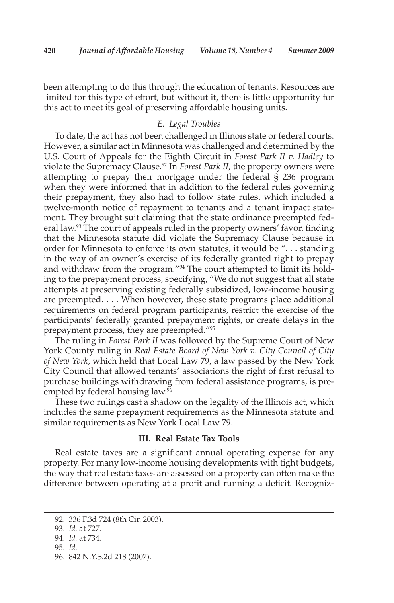been attempting to do this through the education of tenants. Resources are limited for this type of effort, but without it, there is little opportunity for this act to meet its goal of preserving affordable housing units.

#### *E. Legal Troubles*

 To date, the act has not been challenged in Illinois state or federal courts. However, a similar act in Minnesota was challenged and determined by the U.S. Court of Appeals for the Eighth Circuit in *Forest Park II v. Hadley* to violate the Supremacy Clause.92 In *Forest Park II* , the property owners were attempting to prepay their mortgage under the federal § 236 program when they were informed that in addition to the federal rules governing their prepayment, they also had to follow state rules, which included a twelve-month notice of repayment to tenants and a tenant impact statement. They brought suit claiming that the state ordinance preempted federal law.<sup>93</sup> The court of appeals ruled in the property owners' favor, finding that the Minnesota statute did violate the Supremacy Clause because in order for Minnesota to enforce its own statutes, it would be ". . . standing in the way of an owner's exercise of its federally granted right to prepay and withdraw from the program."<sup>94</sup> The court attempted to limit its holding to the prepayment process, specifying, "We do not suggest that all state attempts at preserving existing federally subsidized, low-income housing are preempted. . . . When however, these state programs place additional requirements on federal program participants, restrict the exercise of the participants' federally granted prepayment rights, or create delays in the prepayment process, they are preempted."<sup>95</sup>

 The ruling in *Forest Park II* was followed by the Supreme Court of New York County ruling in *Real Estate Board of New York v. City Council of City of New York* , which held that Local Law 79, a law passed by the New York City Council that allowed tenants' associations the right of first refusal to purchase buildings withdrawing from federal assistance programs, is preempted by federal housing law.<sup>96</sup>

 These two rulings cast a shadow on the legality of the Illinois act, which includes the same prepayment requirements as the Minnesota statute and similar requirements as New York Local Law 79.

#### **III. Real Estate Tax Tools**

 Real estate taxes are a significant annual operating expense for any property. For many low-income housing developments with tight budgets, the way that real estate taxes are assessed on a property can often make the difference between operating at a profit and running a deficit. Recogniz-

95. *Id.*

<sup>92. 336</sup> F.3d 724 (8th Cir. 2003).

 <sup>93.</sup> *Id.* at 727.

 <sup>94.</sup> *Id.* at 734.

<sup>96. 842</sup> N.Y.S.2d 218 (2007).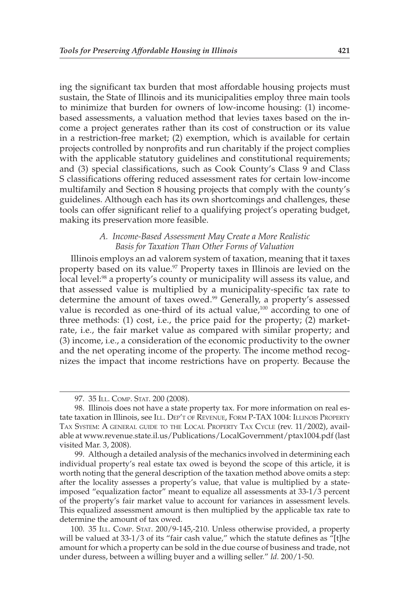ing the significant tax burden that most affordable housing projects must sustain, the State of Illinois and its municipalities employ three main tools to minimize that burden for owners of low-income housing: (1) incomebased assessments, a valuation method that levies taxes based on the income a project generates rather than its cost of construction or its value in a restriction-free market; (2) exemption, which is available for certain projects controlled by nonprofits and run charitably if the project complies with the applicable statutory guidelines and constitutional requirements; and (3) special classifications, such as Cook County's Class 9 and Class S classifications offering reduced assessment rates for certain low-income multifamily and Section 8 housing projects that comply with the county's guidelines. Although each has its own shortcomings and challenges, these tools can offer significant relief to a qualifying project's operating budget, making its preservation more feasible.

#### *A. Income-Based Assessment May Create a More Realistic Basis for Taxation Than Other Forms of Valuation*

 Illinois employs an ad valorem system of taxation, meaning that it taxes property based on its value.<sup>97</sup> Property taxes in Illinois are levied on the local level:<sup>98</sup> a property's county or municipality will assess its value, and that assessed value is multiplied by a municipality-specific tax rate to determine the amount of taxes owed.<sup>99</sup> Generally, a property's assessed value is recorded as one-third of its actual value, $100$  according to one of three methods: (1) cost, i.e., the price paid for the property; (2) marketrate, i.e., the fair market value as compared with similar property; and (3) income, i.e., a consideration of the economic productivity to the owner and the net operating income of the property. The income method recognizes the impact that income restrictions have on property. Because the

 <sup>97. 35</sup> ILL. COMP. STAT. 200 (2008).

 <sup>98.</sup> Illinois does not have a state property tax. For more information on real estate taxation in Illinois, see ILL. DEP'T OF REVENUE, FORM P-TAX 1004: ILLINOIS PROPERTY TAX SYSTEM: A GENERAL GUIDE TO THE LOCAL PROPERTY TAX CYCLE (rev. 11/2002), available at www.revenue.state.il.us/Publications/LocalGovernment/ptax1004.pdf (last visited Mar. 3, 2008).

 <sup>99.</sup> Although a detailed analysis of the mechanics involved in determining each individual property's real estate tax owed is beyond the scope of this article, it is worth noting that the general description of the taxation method above omits a step: after the locality assesses a property's value, that value is multiplied by a stateimposed "equalization factor" meant to equalize all assessments at 33-1/3 percent of the property's fair market value to account for variances in assessment levels. This equalized assessment amount is then multiplied by the applicable tax rate to determine the amount of tax owed.

 <sup>100. 35</sup> ILL. COMP. STAT. 200/9-145,-210. Unless otherwise provided, a property will be valued at 33-1/3 of its "fair cash value," which the statute defines as "[t]he amount for which a property can be sold in the due course of business and trade, not under duress, between a willing buyer and a willing seller." *Id.* 200/1-50.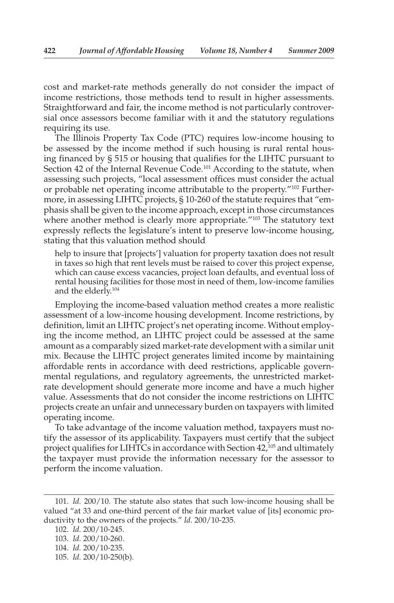cost and market-rate methods generally do not consider the impact of income restrictions, those methods tend to result in higher assessments. Straightforward and fair, the income method is not particularly controversial once assessors become familiar with it and the statutory regulations requiring its use.

 The Illinois Property Tax Code (PTC) requires low-income housing to be assessed by the income method if such housing is rural rental housing financed by § 515 or housing that qualifies for the LIHTC pursuant to Section 42 of the Internal Revenue Code.<sup>101</sup> According to the statute, when assessing such projects, "local assessment offices must consider the actual or probable net operating income attributable to the property." 102 Furthermore, in assessing LIHTC projects, § 10-260 of the statute requires that "emphasis shall be given to the income approach, except in those circumstances where another method is clearly more appropriate."<sup>103</sup> The statutory text expressly reflects the legislature's intent to preserve low-income housing, stating that this valuation method should

 help to insure that [projects'] valuation for property taxation does not result in taxes so high that rent levels must be raised to cover this project expense, which can cause excess vacancies, project loan defaults, and eventual loss of rental housing facilities for those most in need of them, low-income families and the elderly.<sup>104</sup>

 Employing the income-based valuation method creates a more realistic assessment of a low-income housing development. Income restrictions, by definition, limit an LIHTC project's net operating income. Without employing the income method, an LIHTC project could be assessed at the same amount as a comparably sized market-rate development with a similar unit mix. Because the LIHTC project generates limited income by maintaining affordable rents in accordance with deed restrictions, applicable governmental regulations, and regulatory agreements, the unrestricted marketrate development should generate more income and have a much higher value. Assessments that do not consider the income restrictions on LIHTC projects create an unfair and unnecessary burden on taxpayers with limited operating income.

 To take advantage of the income valuation method, taxpayers must notify the assessor of its applicability. Taxpayers must certify that the subject project qualifies for LIHTCs in accordance with Section 42,<sup>105</sup> and ultimately the taxpayer must provide the information necessary for the assessor to perform the income valuation.

<sup>1 01.</sup> *Id.* 200/10. The statute also states that such low-income housing shall be valued "at 33 and one-third percent of the fair market value of [its] economic productivity to the owners of the projects." *Id.* 200/10-235.

 <sup>102.</sup> *Id.* 200/10-245. 103. *Id.* 200/10-260. 104. *Id.* 200/10-235. 105. *Id.* 200/10-250(b).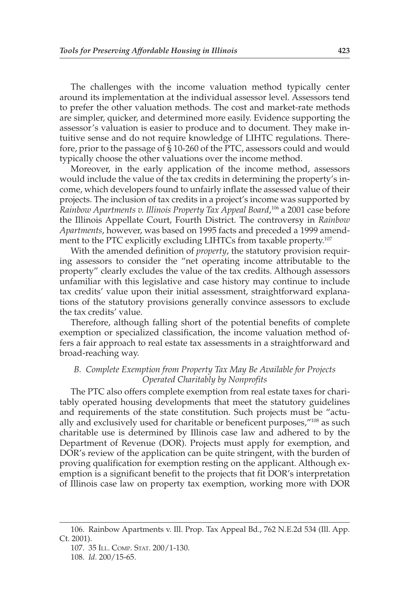The challenges with the income valuation method typically center around its implementation at the individual assessor level. Assessors tend to prefer the other valuation methods. The cost and market-rate methods are simpler, quicker, and determined more easily. Evidence supporting the assessor's valuation is easier to produce and to document. They make intuitive sense and do not require knowledge of LIHTC regulations. Therefore, prior to the passage of § 10-260 of the PTC, assessors could and would typically choose the other valuations over the income method.

 Moreover, in the early application of the income method, assessors would include the value of the tax credits in determining the property's income, which developers found to unfairly inflate the assessed value of their projects. The inclusion of tax credits in a project's income was supported by Rainbow Apartments v. Illinois Property Tax Appeal Board,<sup>106</sup> a 2001 case before the Illinois Appellate Court, Fourth District. The controversy in *Rainbow Apartments* , however, was based on 1995 facts and preceded a 1999 amendment to the PTC explicitly excluding LIHTCs from taxable property.<sup>107</sup>

With the amended definition of *property*, the statutory provision requiring assessors to consider the "net operating income attributable to the property" clearly excludes the value of the tax credits. Although assessors unfamiliar with this legislative and case history may continue to include tax credits' value upon their initial assessment, straightforward explanations of the statutory provisions generally convince assessors to exclude the tax credits' value.

 Therefore, although falling short of the potential benefits of complete exemption or specialized classification, the income valuation method offers a fair approach to real estate tax assessments in a straightforward and broad-reaching way.

## *B. Complete Exemption from Property Tax May Be Available for Projects Operated Charitably by Nonprofits*

 The PTC also offers complete exemption from real estate taxes for charitably operated housing developments that meet the statutory guidelines and requirements of the state constitution. Such projects must be "actually and exclusively used for charitable or beneficent purposes,"<sup>108</sup> as such charitable use is determined by Illinois case law and adhered to by the Department of Revenue (DOR). Projects must apply for exemption, and DOR's review of the application can be quite stringent, with the burden of proving qualification for exemption resting on the applicant. Although exemption is a significant benefit to the projects that fit DOR's interpretation of Illinois case law on property tax exemption, working more with DOR

108. *Id.* 200/15-65.

 <sup>106.</sup> Rainbow Apartments v. Ill. Prop. Tax Appeal Bd., 762 N.E.2d 534 (Ill. App. Ct. 2001).

 <sup>107. 35</sup> ILL. COMP. STAT. 200/1-130.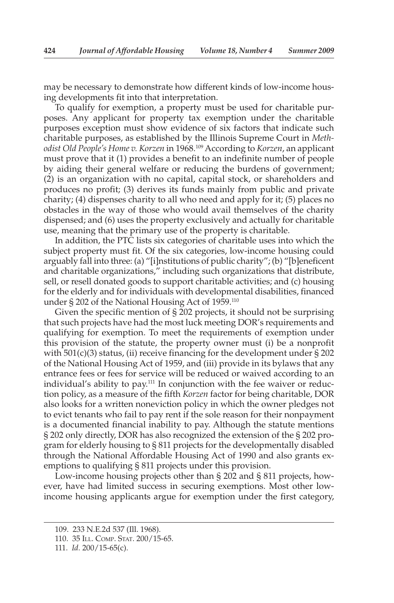may be necessary to demonstrate how different kinds of low-income housing developments fit into that interpretation.

 To qualify for exemption, a property must be used for charitable purposes. Any applicant for property tax exemption under the charitable purposes exception must show evidence of six factors that indicate such charitable purposes, as established by the Illinois Supreme Court in *Methodist Old People's Home v. Korzen* in 1968. 109 According to *Korzen* , an applicant must prove that it (1) provides a benefit to an indefinite number of people by aiding their general welfare or reducing the burdens of government; (2) is an organization with no capital, capital stock, or shareholders and produces no profit; (3) derives its funds mainly from public and private charity; (4) dispenses charity to all who need and apply for it; (5) places no obstacles in the way of those who would avail themselves of the charity dispensed; and (6) uses the property exclusively and actually for charitable use, meaning that the primary use of the property is charitable.

 In addition, the PTC lists six categories of charitable uses into which the subject property must fit. Of the six categories, low-income housing could arguably fall into three: (a) "[i]nstitutions of public charity"; (b) "[b]eneficent and charitable organizations," including such organizations that distribute, sell, or resell donated goods to support charitable activities; and (c) housing for the elderly and for individuals with developmental disabilities, financed under § 202 of the National Housing Act of 1959.<sup>110</sup>

 Given the specific mention of § 202 projects, it should not be surprising that such projects have had the most luck meeting DOR's requirements and qualifying for exemption. To meet the requirements of exemption under this provision of the statute, the property owner must (i) be a nonprofit with  $501(c)(3)$  status, (ii) receive financing for the development under § 202 of the National Housing Act of 1959, and (iii) provide in its bylaws that any entrance fees or fees for service will be reduced or waived according to an individual's ability to pay.<sup>111</sup> In conjunction with the fee waiver or reduction policy, as a measure of the fifth *Korzen* factor for being charitable, DOR also looks for a written noneviction policy in which the owner pledges not to evict tenants who fail to pay rent if the sole reason for their nonpayment is a documented financial inability to pay. Although the statute mentions § 202 only directly, DOR has also recognized the extension of the § 202 program for elderly housing to § 811 projects for the developmentally disabled through the National Affordable Housing Act of 1990 and also grants exemptions to qualifying § 811 projects under this provision.

 Low-income housing projects other than § 202 and § 811 projects, however, have had limited success in securing exemptions. Most other lowincome housing applicants argue for exemption under the first category,

 <sup>109. 233</sup> N.E.2d 537 (Ill. 1968).

 <sup>110. 35</sup> ILL. COMP. STAT. 200/15-65.

 <sup>111.</sup> *Id.* 200/15-65(c).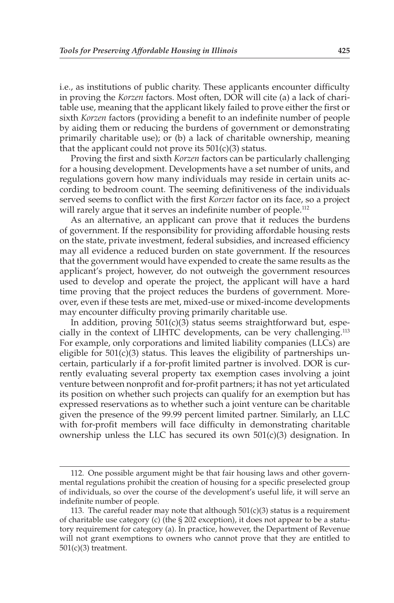i.e., as institutions of public charity. These applicants encounter difficulty in proving the *Korzen* factors. Most often, DOR will cite (a) a lack of charitable use, meaning that the applicant likely failed to prove either the first or sixth *Korzen* factors (providing a benefit to an indefinite number of people by aiding them or reducing the burdens of government or demonstrating primarily charitable use); or (b) a lack of charitable ownership, meaning that the applicant could not prove its  $501(c)(3)$  status.

 Proving the first and sixth *Korzen* factors can be particularly challenging for a housing development. Developments have a set number of units, and regulations govern how many individuals may reside in certain units according to bedroom count. The seeming definitiveness of the individuals served seems to conflict with the first *Korzen* factor on its face, so a project will rarely argue that it serves an indefinite number of people.<sup>112</sup>

 As an alternative, an applicant can prove that it reduces the burdens of government. If the responsibility for providing affordable housing rests on the state, private investment, federal subsidies, and increased efficiency may all evidence a reduced burden on state government. If the resources that the government would have expended to create the same results as the applicant's project, however, do not outweigh the government resources used to develop and operate the project, the applicant will have a hard time proving that the project reduces the burdens of government. Moreover, even if these tests are met, mixed-use or mixed-income developments may encounter difficulty proving primarily charitable use.

 In addition, proving 501(c)(3) status seems straightforward but, especially in the context of LIHTC developments, can be very challenging. 113 For example, only corporations and limited liability companies (LLCs) are eligible for  $501(c)(3)$  status. This leaves the eligibility of partnerships uncertain, particularly if a for-profit limited partner is involved. DOR is currently evaluating several property tax exemption cases involving a joint venture between nonprofit and for-profit partners; it has not yet articulated its position on whether such projects can qualify for an exemption but has expressed reservations as to whether such a joint venture can be charitable given the presence of the 99.99 percent limited partner. Similarly, an LLC with for-profit members will face difficulty in demonstrating charitable ownership unless the LLC has secured its own 501(c)(3) designation. In

 <sup>112.</sup> One possible argument might be that fair housing laws and other governmental regulations prohibit the creation of housing for a specific preselected group of individuals, so over the course of the development's useful life, it will serve an indefinite number of people.

<sup>113.</sup> The careful reader may note that although  $501(c)(3)$  status is a requirement of charitable use category (c) (the § 202 exception), it does not appear to be a statutory requirement for category (a). In practice, however, the Department of Revenue will not grant exemptions to owners who cannot prove that they are entitled to 501(c)(3) treatment.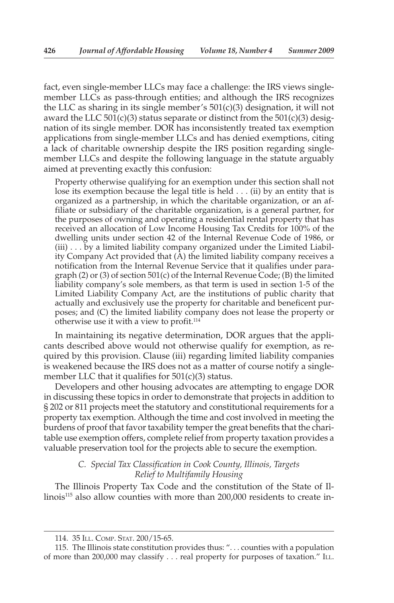fact, even single-member LLCs may face a challenge: the IRS views singlemember LLCs as pass-through entities; and although the IRS recognizes the LLC as sharing in its single member's  $501(c)(3)$  designation, it will not award the LLC  $501(c)(3)$  status separate or distinct from the  $501(c)(3)$  designation of its single member. DOR has inconsistently treated tax exemption applications from single-member LLCs and has denied exemptions, citing a lack of charitable ownership despite the IRS position regarding singlemember LLCs and despite the following language in the statute arguably aimed at preventing exactly this confusion:

 Property otherwise qualifying for an exemption under this section shall not lose its exemption because the legal title is held . . . (ii) by an entity that is organized as a partnership, in which the charitable organization, or an affiliate or subsidiary of the charitable organization, is a general partner, for the purposes of owning and operating a residential rental property that has received an allocation of Low Income Housing Tax Credits for 100% of the dwelling units under section 42 of the Internal Revenue Code of 1986, or (iii) . . . by a limited liability company organized under the Limited Liability Company Act provided that  $(A)$  the limited liability company receives a notification from the Internal Revenue Service that it qualifies under paragraph (2) or (3) of section 501(c) of the Internal Revenue Code; (B) the limited liability company's sole members, as that term is used in section 1-5 of the Limited Liability Company Act, are the institutions of public charity that actually and exclusively use the property for charitable and beneficent purposes; and (C) the limited liability company does not lease the property or otherwise use it with a view to profit. 114

 In maintaining its negative determination, DOR argues that the applicants described above would not otherwise qualify for exemption, as required by this provision. Clause (iii) regarding limited liability companies is weakened because the IRS does not as a matter of course notify a singlemember LLC that it qualifies for  $501(c)(3)$  status.

 Developers and other housing advocates are attempting to engage DOR in discussing these topics in order to demonstrate that projects in addition to § 202 or 811 projects meet the statutory and constitutional requirements for a property tax exemption. Although the time and cost involved in meeting the burdens of proof that favor taxability temper the great benefits that the charitable use exemption offers, complete relief from property taxation provides a valuable preservation tool for the projects able to secure the exemption.

## *C. Special Tax Classification in Cook County, Illinois, Targets Relief to Multifamily Housing*

 The Illinois Property Tax Code and the constitution of the State of Illinois 115 also allow counties with more than 200,000 residents to create in-

 <sup>114. 35</sup> ILL. COMP. STAT. 200/15-65.

 <sup>115.</sup> The Illinois state constitution provides thus: ". . . counties with a population of more than 200,000 may classify . . . real property for purposes of taxation." ILL.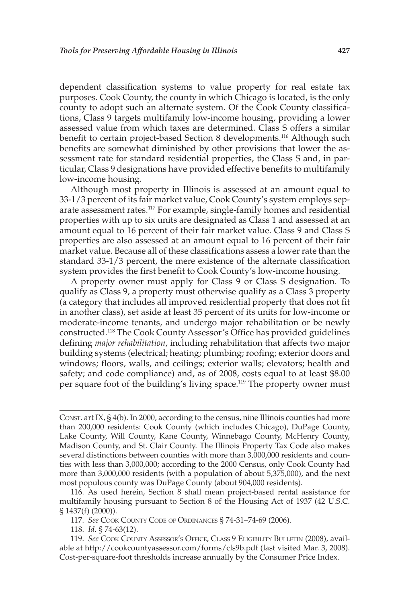dependent classification systems to value property for real estate tax purposes. Cook County, the county in which Chicago is located, is the only county to adopt such an alternate system. Of the Cook County classifications, Class 9 targets multifamily low-income housing, providing a lower assessed value from which taxes are determined. Class S offers a similar benefit to certain project-based Section 8 developments. 116 Although such benefits are somewhat diminished by other provisions that lower the assessment rate for standard residential properties, the Class S and, in particular, Class 9 designations have provided effective benefits to multifamily low-income housing.

 Although most property in Illinois is assessed at an amount equal to 33-1/3 percent of its fair market value, Cook County's system employs separate assessment rates. 117 For example, single-family homes and residential properties with up to six units are designated as Class 1 and assessed at an amount equal to 16 percent of their fair market value. Class 9 and Class S properties are also assessed at an amount equal to 16 percent of their fair market value. Because all of these classifications assess a lower rate than the standard 33-1/3 percent, the mere existence of the alternate classification system provides the first benefit to Cook County's low-income housing.

 A property owner must apply for Class 9 or Class S designation. To qualify as Class 9, a property must otherwise qualify as a Class 3 property (a category that includes all improved residential property that does not fit in another class), set aside at least 35 percent of its units for low-income or moderate-income tenants, and undergo major rehabilitation or be newly constructed. 118 The Cook County Assessor's Office has provided guidelines defining *major rehabilitation* , including rehabilitation that affects two major building systems (electrical; heating; plumbing; roofing; exterior doors and windows; floors, walls, and ceilings; exterior walls; elevators; health and safety; and code compliance) and, as of 2008, costs equal to at least \$8.00 per square foot of the building's living space.<sup>119</sup> The property owner must

CONST . art IX, § 4(b). In 2000, according to the census, nine Illinois counties had more than 200,000 residents: Cook County (which includes Chicago), DuPage County, Lake County, Will County, Kane County, Winnebago County, McHenry County, Madison County, and St. Clair County. The Illinois Property Tax Code also makes several distinctions between counties with more than 3,000,000 residents and counties with less than 3,000,000; according to the 2000 Census, only Cook County had more than 3,000,000 residents (with a population of about 5,375,000), and the next most populous county was DuPage County (about 904,000 residents).

 116. As used herein, Section 8 shall mean project-based rental assistance for multifamily housing pursuant to Section 8 of the Housing Act of 1937 (42 U.S.C. § 1437(f) (2000)).

117. *See* COOK COUNTY CODE OF ORDINANCES § 74-31–74-69 (2006).

118. *Id.* § 74-63(12).

 119. *See* COOK COUNTY ASSESSOR'S OFFICE, CLASS 9 ELIGIBILITY BULLETIN (2008), available at http://cookcountyassessor.com/forms/cls9b.pdf (last visited Mar. 3, 2008). Cost-per-square-foot thresholds increase annually by the Consumer Price Index.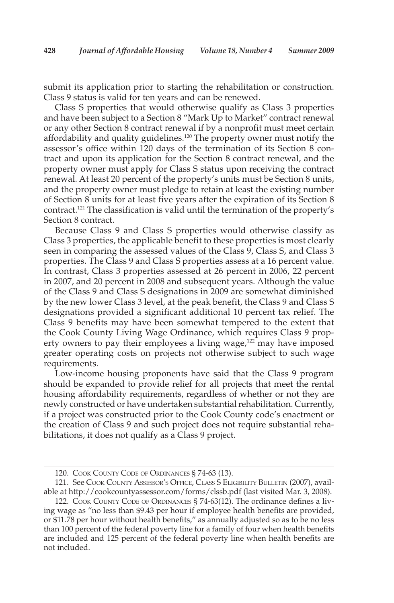submit its application prior to starting the rehabilitation or construction. Class 9 status is valid for ten years and can be renewed.

 Class S properties that would otherwise qualify as Class 3 properties and have been subject to a Section 8 "Mark Up to Market" contract renewal or any other Section 8 contract renewal if by a nonprofit must meet certain affordability and quality guidelines.<sup>120</sup> The property owner must notify the assessor's office within 120 days of the termination of its Section 8 contract and upon its application for the Section 8 contract renewal, and the property owner must apply for Class S status upon receiving the contract renewal. At least 20 percent of the property's units must be Section 8 units, and the property owner must pledge to retain at least the existing number of Section 8 units for at least five years after the expiration of its Section 8 contract. 121 The classification is valid until the termination of the property's Section 8 contract.

 Because Class 9 and Class S properties would otherwise classify as Class 3 properties, the applicable benefit to these properties is most clearly seen in comparing the assessed values of the Class 9, Class S, and Class 3 properties. The Class 9 and Class S properties assess at a 16 percent value. In contrast, Class 3 properties assessed at 26 percent in 2006, 22 percent in 2007, and 20 percent in 2008 and subsequent years. Although the value of the Class 9 and Class S designations in 2009 are somewhat diminished by the new lower Class 3 level, at the peak benefit, the Class 9 and Class S designations provided a significant additional 10 percent tax relief. The Class 9 benefits may have been somewhat tempered to the extent that the Cook County Living Wage Ordinance, which requires Class 9 property owners to pay their employees a living wage, $122$  may have imposed greater operating costs on projects not otherwise subject to such wage requirements.

 Low-income housing proponents have said that the Class 9 program should be expanded to provide relief for all projects that meet the rental housing affordability requirements, regardless of whether or not they are newly constructed or have undertaken substantial rehabilitation. Currently, if a project was constructed prior to the Cook County code's enactment or the creation of Class 9 and such project does not require substantial rehabilitations, it does not qualify as a Class 9 project.

 <sup>120.</sup> COOK COUNTY CODE OF ORDINANCES § 74-63 (13).

 <sup>121.</sup> See COOK COUNTY ASSESSOR'S OFFICE, CLASS S ELIGIBILITY BULLETIN (2007), available at http://cookcountyassessor.com/forms/clssb.pdf (last visited Mar. 3, 2008).

<sup>122.</sup> COOK COUNTY CODE OF ORDINANCES § 74-63(12). The ordinance defines a living wage as "no less than \$9.43 per hour if employee health benefits are provided, or \$11.78 per hour without health benefits," as annually adjusted so as to be no less than 100 percent of the federal poverty line for a family of four when health benefits are included and 125 percent of the federal poverty line when health benefits are not included.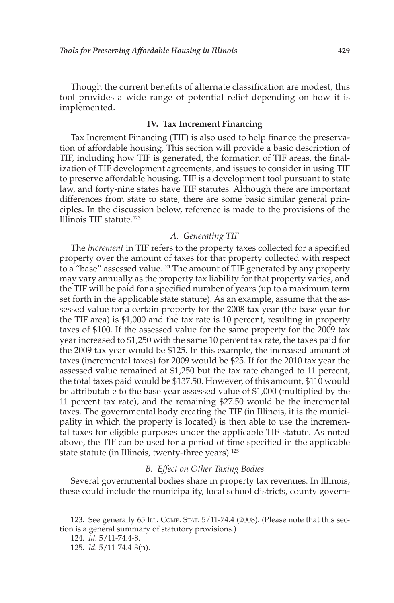Though the current benefits of alternate classification are modest, this tool provides a wide range of potential relief depending on how it is implemented.

#### **IV. Tax Increment Financing**

 Tax Increment Financing (TIF) is also used to help finance the preservation of affordable housing. This section will provide a basic description of TIF, including how TIF is generated, the formation of TIF areas, the finalization of TIF development agreements, and issues to consider in using TIF to preserve affordable housing. TIF is a development tool pursuant to state law, and forty-nine states have TIF statutes. Although there are important differences from state to state, there are some basic similar general principles. In the discussion below, reference is made to the provisions of the Illinois TIF statute. 123

## *A. Generating TIF*

 The *increment* in TIF refers to the property taxes collected for a specified property over the amount of taxes for that property collected with respect to a "base" assessed value. 124 The amount of TIF generated by any property may vary annually as the property tax liability for that property varies, and the TIF will be paid for a specified number of years (up to a maximum term set forth in the applicable state statute). As an example, assume that the assessed value for a certain property for the 2008 tax year (the base year for the TIF area) is \$1,000 and the tax rate is 10 percent, resulting in property taxes of \$100. If the assessed value for the same property for the 2009 tax year increased to \$1,250 with the same 10 percent tax rate, the taxes paid for the 2009 tax year would be \$125. In this example, the increased amount of taxes (incremental taxes) for 2009 would be \$25. If for the 2010 tax year the assessed value remained at \$1,250 but the tax rate changed to 11 percent, the total taxes paid would be \$137.50. However, of this amount, \$110 would be attributable to the base year assessed value of \$1,000 (multiplied by the 11 percent tax rate), and the remaining \$27.50 would be the incremental taxes. The governmental body creating the TIF (in Illinois, it is the municipality in which the property is located) is then able to use the incremental taxes for eligible purposes under the applicable TIF statute. As noted above, the TIF can be used for a period of time specified in the applicable state statute (in Illinois, twenty-three years).<sup>125</sup>

#### *B. Effect on Other Taxing Bodies*

 Several governmental bodies share in property tax revenues. In Illinois, these could include the municipality, local school districts, county govern-

 <sup>123.</sup> See generally 65 ILL. COMP. STAT. 5/11-74.4 (2008). (Please note that this section is a general summary of statutory provisions.)

 <sup>124.</sup> *Id.* 5/11-74.4-8.

 <sup>125.</sup> *Id.* 5/11-74.4-3(n).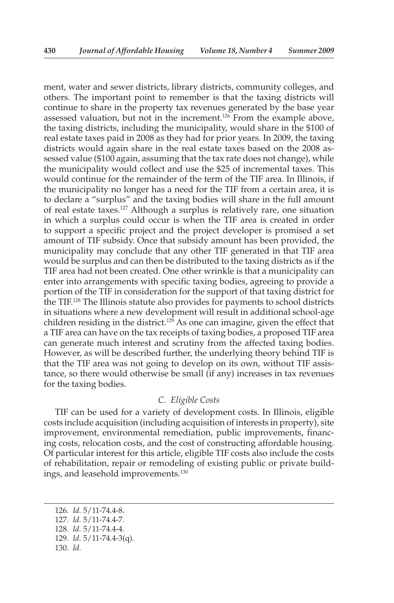ment, water and sewer districts, library districts, community colleges, and others. The important point to remember is that the taxing districts will continue to share in the property tax revenues generated by the base year assessed valuation, but not in the increment.<sup>126</sup> From the example above, the taxing districts, including the municipality, would share in the \$100 of real estate taxes paid in 2008 as they had for prior years. In 2009, the taxing districts would again share in the real estate taxes based on the 2008 assessed value (\$100 again, assuming that the tax rate does not change), while the municipality would collect and use the \$25 of incremental taxes. This would continue for the remainder of the term of the TIF area. In Illinois, if the municipality no longer has a need for the TIF from a certain area, it is to declare a "surplus" and the taxing bodies will share in the full amount of real estate taxes. 127 Although a surplus is relatively rare, one situation in which a surplus could occur is when the TIF area is created in order to support a specific project and the project developer is promised a set amount of TIF subsidy. Once that subsidy amount has been provided, the municipality may conclude that any other TIF generated in that TIF area would be surplus and can then be distributed to the taxing districts as if the TIF area had not been created. One other wrinkle is that a municipality can enter into arrangements with specific taxing bodies, agreeing to provide a portion of the TIF in consideration for the support of that taxing district for the TIF. 128 The Illinois statute also provides for payments to school districts in situations where a new development will result in additional school-age children residing in the district.<sup>129</sup> As one can imagine, given the effect that a TIF area can have on the tax receipts of taxing bodies, a proposed TIF area can generate much interest and scrutiny from the affected taxing bodies. However, as will be described further, the underlying theory behind TIF is that the TIF area was not going to develop on its own, without TIF assistance, so there would otherwise be small (if any) increases in tax revenues for the taxing bodies.

#### *C. Eligible Costs*

 TIF can be used for a variety of development costs. In Illinois, eligible costs include acquisition (including acquisition of interests in property), site improvement, environmental remediation, public improvements, financing costs, relocation costs, and the cost of constructing affordable housing. Of particular interest for this article, eligible TIF costs also include the costs of rehabilitation, repair or remodeling of existing public or private buildings, and leasehold improvements.<sup>130</sup>

 <sup>126.</sup> *Id.* 5/11-74.4-8.

 <sup>127.</sup> *Id.* 5/11-74.4-7.

 <sup>128.</sup> *Id.* 5/11-74.4-4.

 <sup>129.</sup> *Id.* 5/11-74.4-3(q).

 <sup>130.</sup> *Id.*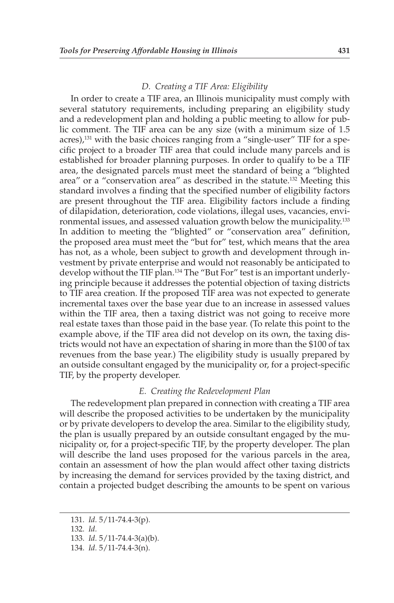#### *D. Creating a TIF Area: Eligibility*

 In order to create a TIF area, an Illinois municipality must comply with several statutory requirements, including preparing an eligibility study and a redevelopment plan and holding a public meeting to allow for public comment. The TIF area can be any size (with a minimum size of 1.5 acres),<sup>131</sup> with the basic choices ranging from a "single-user" TIF for a specific project to a broader TIF area that could include many parcels and is established for broader planning purposes. In order to qualify to be a TIF area, the designated parcels must meet the standard of being a "blighted area" or a "conservation area" as described in the statute. 132 Meeting this standard involves a finding that the specified number of eligibility factors are present throughout the TIF area. Eligibility factors include a finding of dilapidation, deterioration, code violations, illegal uses, vacancies, environmental issues, and assessed valuation growth below the municipality.<sup>133</sup> In addition to meeting the "blighted" or "conservation area" definition, the proposed area must meet the "but for" test, which means that the area has not, as a whole, been subject to growth and development through investment by private enterprise and would not reasonably be anticipated to develop without the TIF plan.<sup>134</sup> The "But For" test is an important underlying principle because it addresses the potential objection of taxing districts to TIF area creation. If the proposed TIF area was not expected to generate incremental taxes over the base year due to an increase in assessed values within the TIF area, then a taxing district was not going to receive more real estate taxes than those paid in the base year. (To relate this point to the example above, if the TIF area did not develop on its own, the taxing districts would not have an expectation of sharing in more than the \$100 of tax revenues from the base year.) The eligibility study is usually prepared by an outside consultant engaged by the municipality or, for a project-specific TIF, by the property developer.

#### *E. Creating the Redevelopment Plan*

 The redevelopment plan prepared in connection with creating a TIF area will describe the proposed activities to be undertaken by the municipality or by private developers to develop the area. Similar to the eligibility study, the plan is usually prepared by an outside consultant engaged by the municipality or, for a project-specific TIF, by the property developer. The plan will describe the land uses proposed for the various parcels in the area, contain an assessment of how the plan would affect other taxing districts by increasing the demand for services provided by the taxing district, and contain a projected budget describing the amounts to be spent on various

132. *Id.*

 <sup>131.</sup> *Id.* 5/11-74.4-3(p).

 <sup>133.</sup> *Id.* 5/11-74.4-3(a)(b).

 <sup>134.</sup> *Id.* 5/11-74.4-3(n).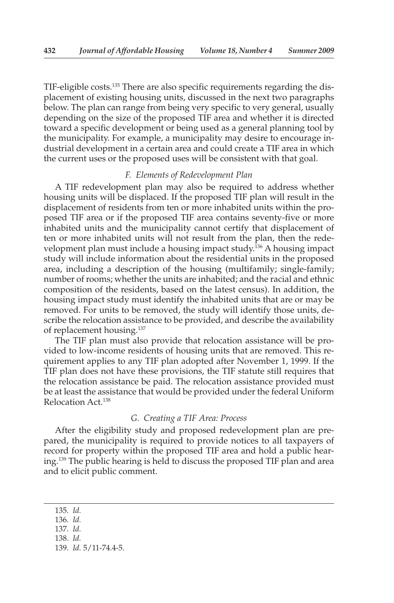TIF-eligible costs. 135 There are also specific requirements regarding the displacement of existing housing units, discussed in the next two paragraphs below. The plan can range from being very specific to very general, usually depending on the size of the proposed TIF area and whether it is directed toward a specific development or being used as a general planning tool by the municipality. For example, a municipality may desire to encourage industrial development in a certain area and could create a TIF area in which the current uses or the proposed uses will be consistent with that goal.

#### *F. Elements of Redevelopment Plan*

 A TIF redevelopment plan may also be required to address whether housing units will be displaced. If the proposed TIF plan will result in the displacement of residents from ten or more inhabited units within the proposed TIF area or if the proposed TIF area contains seventy-five or more inhabited units and the municipality cannot certify that displacement of ten or more inhabited units will not result from the plan, then the redevelopment plan must include a housing impact study. 136 A housing impact study will include information about the residential units in the proposed area, including a description of the housing (multifamily; single-family; number of rooms; whether the units are inhabited; and the racial and ethnic composition of the residents, based on the latest census). In addition, the housing impact study must identify the inhabited units that are or may be removed. For units to be removed, the study will identify those units, describe the relocation assistance to be provided, and describe the availability of replacement housing. 137

 The TIF plan must also provide that relocation assistance will be provided to low-income residents of housing units that are removed. This requirement applies to any TIF plan adopted after November 1, 1999. If the TIF plan does not have these provisions, the TIF statute still requires that the relocation assistance be paid. The relocation assistance provided must be at least the assistance that would be provided under the federal Uniform Relocation Act.<sup>138</sup>

#### *G. Creating a TIF Area: Process*

 After the eligibility study and proposed redevelopment plan are prepared, the municipality is required to provide notices to all taxpayers of record for property within the proposed TIF area and hold a public hearing. 139 The public hearing is held to discuss the proposed TIF plan and area and to elicit public comment.

138. *Id.*

 <sup>135.</sup> *Id.*

 <sup>136.</sup> *Id.*

 <sup>137.</sup> *Id.*

 <sup>139.</sup> *Id.* 5/11-74.4-5.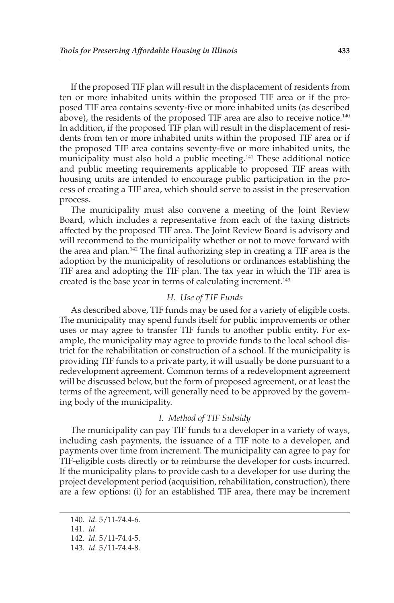If the proposed TIF plan will result in the displacement of residents from ten or more inhabited units within the proposed TIF area or if the proposed TIF area contains seventy-five or more inhabited units (as described above), the residents of the proposed TIF area are also to receive notice.<sup>140</sup> In addition, if the proposed TIF plan will result in the displacement of residents from ten or more inhabited units within the proposed TIF area or if the proposed TIF area contains seventy-five or more inhabited units, the municipality must also hold a public meeting.<sup>141</sup> These additional notice and public meeting requirements applicable to proposed TIF areas with housing units are intended to encourage public participation in the process of creating a TIF area, which should serve to assist in the preservation process.

 The municipality must also convene a meeting of the Joint Review Board, which includes a representative from each of the taxing districts affected by the proposed TIF area. The Joint Review Board is advisory and will recommend to the municipality whether or not to move forward with the area and plan. 142 The final authorizing step in creating a TIF area is the adoption by the municipality of resolutions or ordinances establishing the TIF area and adopting the TIF plan. The tax year in which the TIF area is created is the base year in terms of calculating increment. 143

## *H. Use of TIF Funds*

 As described above, TIF funds may be used for a variety of eligible costs. The municipality may spend funds itself for public improvements or other uses or may agree to transfer TIF funds to another public entity. For example, the municipality may agree to provide funds to the local school district for the rehabilitation or construction of a school. If the municipality is providing TIF funds to a private party, it will usually be done pursuant to a redevelopment agreement. Common terms of a redevelopment agreement will be discussed below, but the form of proposed agreement, or at least the terms of the agreement, will generally need to be approved by the governing body of the municipality.

#### *I. Method of TIF Subsidy*

 The municipality can pay TIF funds to a developer in a variety of ways, including cash payments, the issuance of a TIF note to a developer, and payments over time from increment. The municipality can agree to pay for TIF-eligible costs directly or to reimburse the developer for costs incurred. If the municipality plans to provide cash to a developer for use during the project development period (acquisition, rehabilitation, construction), there are a few options: (i) for an established TIF area, there may be increment

 <sup>140.</sup> *Id.* 5/11-74.4-6.

 <sup>141.</sup> *Id.*

 <sup>142.</sup> *Id.* 5/11-74.4-5.

 <sup>143.</sup> *Id.* 5/11-74.4-8.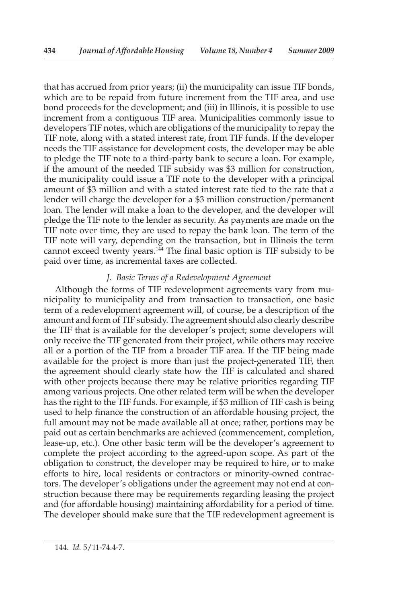that has accrued from prior years; (ii) the municipality can issue TIF bonds, which are to be repaid from future increment from the TIF area, and use bond proceeds for the development; and (iii) in Illinois, it is possible to use increment from a contiguous TIF area. Municipalities commonly issue to developers TIF notes, which are obligations of the municipality to repay the TIF note, along with a stated interest rate, from TIF funds. If the developer needs the TIF assistance for development costs, the developer may be able to pledge the TIF note to a third-party bank to secure a loan. For example, if the amount of the needed TIF subsidy was \$3 million for construction, the municipality could issue a TIF note to the developer with a principal amount of \$3 million and with a stated interest rate tied to the rate that a lender will charge the developer for a \$3 million construction/permanent loan. The lender will make a loan to the developer, and the developer will pledge the TIF note to the lender as security. As payments are made on the TIF note over time, they are used to repay the bank loan. The term of the TIF note will vary, depending on the transaction, but in Illinois the term cannot exceed twenty years.<sup> $14$ </sup> The final basic option is TIF subsidy to be paid over time, as incremental taxes are collected.

## *J. Basic Terms of a Redevelopment Agreement*

 Although the forms of TIF redevelopment agreements vary from municipality to municipality and from transaction to transaction, one basic term of a redevelopment agreement will, of course, be a description of the amount and form of TIF subsidy. The agreement should also clearly describe the TIF that is available for the developer's project; some developers will only receive the TIF generated from their project, while others may receive all or a portion of the TIF from a broader TIF area. If the TIF being made available for the project is more than just the project-generated TIF, then the agreement should clearly state how the TIF is calculated and shared with other projects because there may be relative priorities regarding TIF among various projects. One other related term will be when the developer has the right to the TIF funds. For example, if \$3 million of TIF cash is being used to help finance the construction of an affordable housing project, the full amount may not be made available all at once; rather, portions may be paid out as certain benchmarks are achieved (commencement, completion, lease-up, etc.). One other basic term will be the developer's agreement to complete the project according to the agreed-upon scope. As part of the obligation to construct, the developer may be required to hire, or to make efforts to hire, local residents or contractors or minority-owned contractors. The developer's obligations under the agreement may not end at construction because there may be requirements regarding leasing the project and (for affordable housing) maintaining affordability for a period of time. The developer should make sure that the TIF redevelopment agreement is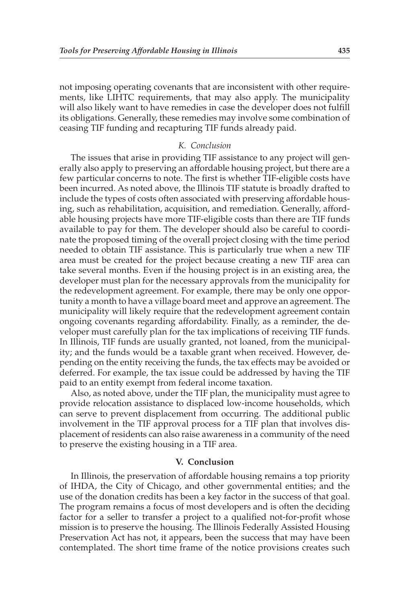not imposing operating covenants that are inconsistent with other requirements, like LIHTC requirements, that may also apply. The municipality will also likely want to have remedies in case the developer does not fulfill its obligations. Generally, these remedies may involve some combination of ceasing TIF funding and recapturing TIF funds already paid.

## *K. Conclusion*

 The issues that arise in providing TIF assistance to any project will generally also apply to preserving an affordable housing project, but there are a few particular concerns to note. The first is whether TIF-eligible costs have been incurred. As noted above, the Illinois TIF statute is broadly drafted to include the types of costs often associated with preserving affordable housing, such as rehabilitation, acquisition, and remediation. Generally, affordable housing projects have more TIF-eligible costs than there are TIF funds available to pay for them. The developer should also be careful to coordinate the proposed timing of the overall project closing with the time period needed to obtain TIF assistance. This is particularly true when a new TIF area must be created for the project because creating a new TIF area can take several months. Even if the housing project is in an existing area, the developer must plan for the necessary approvals from the municipality for the redevelopment agreement. For example, there may be only one opportunity a month to have a village board meet and approve an agreement. The municipality will likely require that the redevelopment agreement contain ongoing covenants regarding affordability. Finally, as a reminder, the developer must carefully plan for the tax implications of receiving TIF funds. In Illinois, TIF funds are usually granted, not loaned, from the municipality; and the funds would be a taxable grant when received. However, depending on the entity receiving the funds, the tax effects may be avoided or deferred. For example, the tax issue could be addressed by having the TIF paid to an entity exempt from federal income taxation.

 Also, as noted above, under the TIF plan, the municipality must agree to provide relocation assistance to displaced low-income households, which can serve to prevent displacement from occurring. The additional public involvement in the TIF approval process for a TIF plan that involves displacement of residents can also raise awareness in a community of the need to preserve the existing housing in a TIF area.

#### **V. Conclusion**

 In Illinois, the preservation of affordable housing remains a top priority of IHDA, the City of Chicago, and other governmental entities; and the use of the donation credits has been a key factor in the success of that goal. The program remains a focus of most developers and is often the deciding factor for a seller to transfer a project to a qualified not-for-profit whose mission is to preserve the housing. The Illinois Federally Assisted Housing Preservation Act has not, it appears, been the success that may have been contemplated. The short time frame of the notice provisions creates such